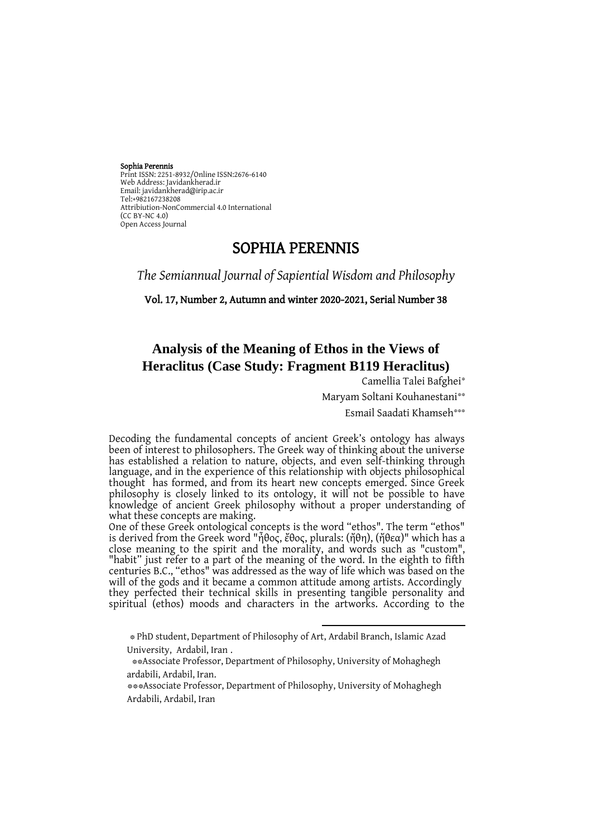Sophia Perennis Print ISSN: 2251-8932/Online ISSN:2676-6140 Web Address: Javidankherad.ir Email[: javidankherad@irip.ac.ir](mailto:javidankherad@irip.ac.ir) [Tel:+982167238208](tel:+982167238208) Attribiution-NonCommercial 4.0 International (CC BY-NC 4.0) Open Access Journal

# SOPHIA PERENNIS

*The Semiannual Journal of Sapiential Wisdom and Philosophy*

Vol. 17, Number 2, Autumn and winter 2020-2021, Serial Number 38

# **Analysis of the Meaning of Ethos in the Views of Heraclitus (Case Study: Fragment B119 Heraclitus)**

Camellia Talei Bafghei\*

Maryam Soltani Kouhanestani\*\*

Esmail Saadati Khamseh\*\*\*

Decoding the fundamental concepts of ancient Greek's ontology has always been of interest to philosophers. The Greek way of thinking about the universe has established a relation to nature, objects, and even self-thinking through language, and in the experience of this relationship with objects philosophical thought has formed, and from its heart new concepts emerged. Since Greek philosophy is closely linked to its ontology, it will not be possible to have knowledge of ancient Greek philosophy without a proper understanding of what these concepts are making.

One of these Greek ontological concepts is the word "ethos". The term "ethos" is derived from the Greek word "ἦθος, ἔθος, plurals: (ἤθη), (ἤθεα)" which has a close meaning to the spirit and the morality, and words such as "custom", "habit" just refer to a part of the meaning of the word. In the eighth to fifth centuries B.C., "ethos" was addressed as the way of life which was based on the will of the gods and it became a common attitude among artists. Accordingly they perfected their technical skills in presenting tangible personality and spiritual (ethos) moods and characters in the artworks. According to the

 $\overline{\phantom{a}}$ 

<sup>\*</sup> PhD student, Department of Philosophy of Art, Ardabil Branch, Islamic Azad University, Ardabil, Iran .

<sup>\*\*</sup>Associate Professor, Department of Philosophy, University of Mohaghegh ardabili, Ardabil, Iran.

<sup>\*\*\*</sup>Associate Professor, Department of Philosophy, University of Mohaghegh Ardabili, Ardabil, Iran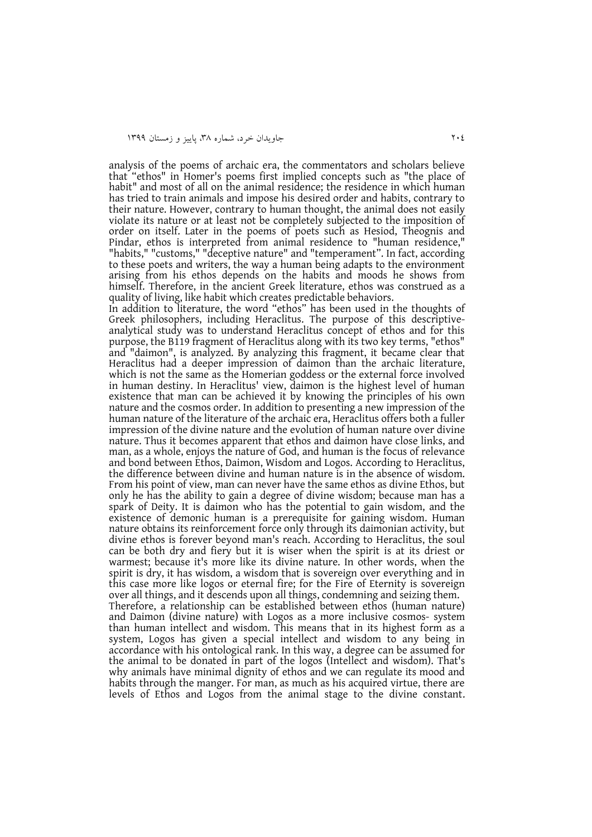analysis of the poems of archaic era, the commentators and scholars believe that "ethos" in Homer's poems first implied concepts such as "the place of habit" and most of all on the animal residence; the residence in which human has tried to train animals and impose his desired order and habits, contrary to their nature. However, contrary to human thought, the animal does not easily violate its nature or at least not be completely subjected to the imposition of order on itself. Later in the poems of poets such as Hesiod, Theognis and Pindar, ethos is interpreted from animal residence to "human residence," "habits," "customs," "deceptive nature" and "temperament". In fact, according to these poets and writers, the way a human being adapts to the environment arising from his ethos depends on the habits and moods he shows from himself. Therefore, in the ancient Greek literature, ethos was construed as a quality of living, like habit which creates predictable behaviors.

In addition to literature, the word "ethos" has been used in the thoughts of Greek philosophers, including Heraclitus. The purpose of this descriptiveanalytical study was to understand Heraclitus concept of ethos and for this purpose, the B119 fragment of Heraclitus along with its two key terms, "ethos" and "daimon", is analyzed. By analyzing this fragment, it became clear that Heraclitus had a deeper impression of daimon than the archaic literature, which is not the same as the Homerian goddess or the external force involved in human destiny. In Heraclitus' view, daimon is the highest level of human existence that man can be achieved it by knowing the principles of his own nature and the cosmos order. In addition to presenting a new impression of the human nature of the literature of the archaic era, Heraclitus offers both a fuller impression of the divine nature and the evolution of human nature over divine nature. Thus it becomes apparent that ethos and daimon have close links, and man, as a whole, enjoys the nature of God, and human is the focus of relevance and bond between Ethos, Daimon, Wisdom and Logos. According to Heraclitus, the difference between divine and human nature is in the absence of wisdom. From his point of view, man can never have the same ethos as divine Ethos, but only he has the ability to gain a degree of divine wisdom; because man has a spark of Deity. It is daimon who has the potential to gain wisdom, and the existence of demonic human is a prerequisite for gaining wisdom. Human nature obtains its reinforcement force only through its daimonian activity, but divine ethos is forever beyond man's reach. According to Heraclitus, the soul can be both dry and fiery but it is wiser when the spirit is at its driest or warmest; because it's more like its divine nature. In other words, when the spirit is dry, it has wisdom, a wisdom that is sovereign over everything and in this case more like logos or eternal fire; for the Fire of Eternity is sovereign over all things, and it descends upon all things, condemning and seizing them. Therefore, a relationship can be established between ethos (human nature) and Daimon (divine nature) with Logos as a more inclusive cosmos- system than human intellect and wisdom. This means that in its highest form as a system, Logos has given a special intellect and wisdom to any being in accordance with his ontological rank. In this way, a degree can be assumed for the animal to be donated in part of the logos (Intellect and wisdom). That's why animals have minimal dignity of ethos and we can regulate its mood and

habits through the manger. For man, as much as his acquired virtue, there are levels of Ethos and Logos from the animal stage to the divine constant.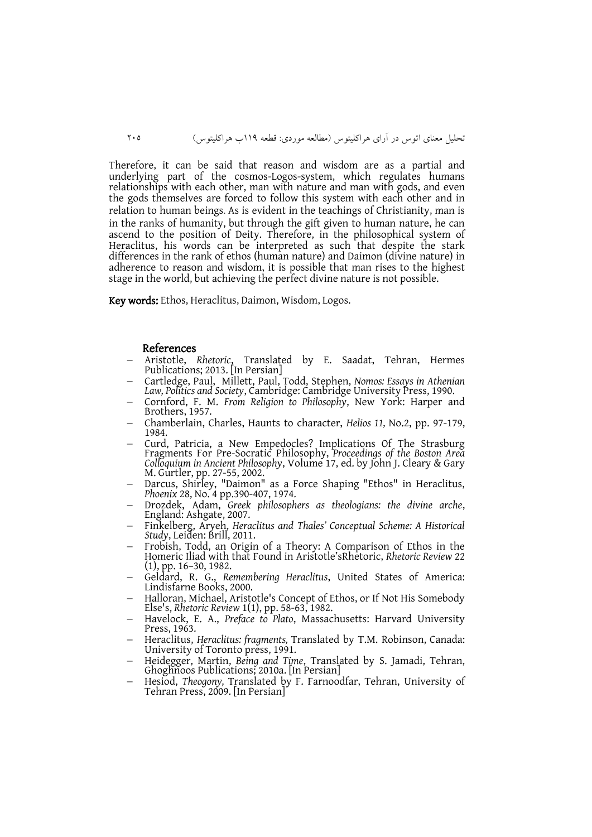تحلیل معنای اتوس در آرای هراکلیتوس )مطالعه موردی: قطعه 991ب هراکلیتوس( 402

Therefore, it can be said that reason and wisdom are as a partial and underlying part of the cosmos-Logos-system, which regulates humans relationships with each other, man with nature and man with gods, and even the gods themselves are forced to follow this system with each other and in relation to human beings. As is evident in the teachings of Christianity, man is in the ranks of humanity, but through the gift given to human nature, he can ascend to the position of Deity. Therefore, in the philosophical system of Heraclitus, his words can be interpreted as such that despite the stark differences in the rank of ethos (human nature) and Daimon (divine nature) in adherence to reason and wisdom, it is possible that man rises to the highest stage in the world, but achieving the perfect divine nature is not possible.

Key words: Ethos, Heraclitus, Daimon, Wisdom, Logos.

#### References

- Aristotle, *Rhetoric*, Translated by E. Saadat, Tehran, Hermes Publications; 2013. [In Persian]
- Cartledge, Paul, Millett, Paul, Todd, Stephen, *Nomos: Essays in Athenian Law, Politics and Society*, Cambridge: Cambridge University Press, 1990.
- Cornford, F. M. *From Religion to Philosophy*, New York: Harper and Brothers, 1957.
- Chamberlain, Charles, Haunts to character, *Helios 11,* No.2, pp. 97-179, 1984.
- Curd, Patricia, a New Empedocles? Implications Of The Strasburg Fragments For Pre-Socratic Philosophy, *Proceedings of the Boston Area Colloquium in Ancient Philosophy*, Volume 17, ed. by John J. Cleary & Gary M. Gurtler, pp. 27-55, 2002.
- Darcus, Shirley, "Daimon" as a Force Shaping "Ethos" in Heraclitus, *Phoenix* 28, No. 4 pp.390-407, 1974.
- Drozdek, Adam, *Greek philosophers as theologians: the divine arche*, England: Ashgate, 2007.
- Finkelberg, Aryeh, *Heraclitus and Thales' Conceptual Scheme: A Historical Study*, Leiden: Brill, 2011.
- Frobish, Todd, an Origin of a Theory: A Comparison of Ethos in the Homeric Iliad with that Found in Aristotle'sRhetoric, *Rhetoric Review* 22 (1), pp. 16–30, 1982.
- Geldard, R. G., *Remembering Heraclitus*, United States of America: Lindisfarne Books, 2000.
- Halloran, Michael, Aristotle's Concept of Ethos, or If Not His Somebody Else's, *Rhetoric Review* 1(1), pp. 58-63, 1982.
- Havelock, E. A., *Preface to Plato*, Massachusetts: Harvard University Press, 1963.
- Heraclitus, *Heraclitus: fragments,* Translated by T.M. Robinson, Canada: University of Toronto press, 1991.
- Heidegger, Martin, *Being and Time*, Translated by S. Jamadi, Tehran, Ghoghnoos Publications; 2010a. [In Persian]
- Hesiod, *Theogony,* Translated by F. Farnoodfar, Tehran, University of Tehran Press, 2009. [In Persian]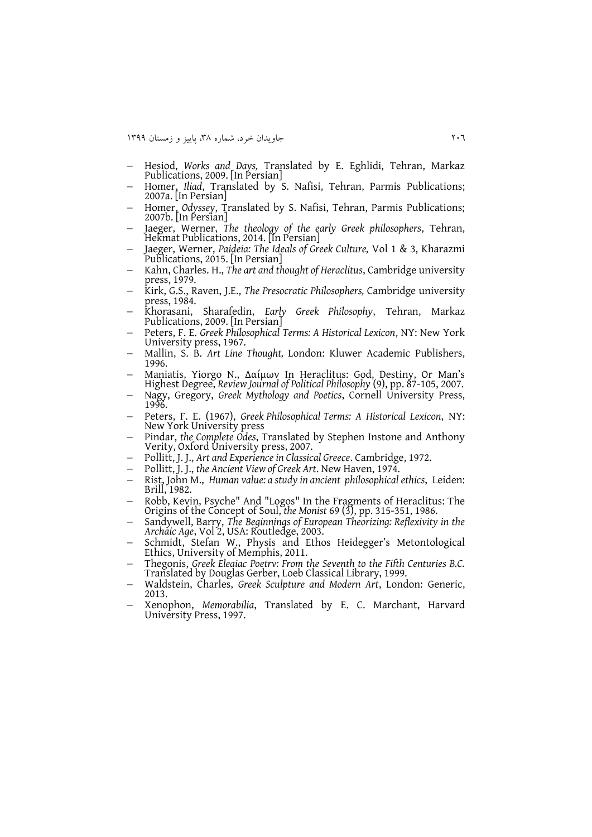- Hesiod, *Works and Days,* Translated by E. Eghlidi, Tehran, Markaz Publications, 2009. [In Persian]
- Homer, *Iliad*, Translated by S. Nafisi, Tehran, Parmis Publications; 2007a. [In Persian]
- Homer, *Odyssey*, Translated by S. Nafisi, Tehran, Parmis Publications; 2007b. [In Persian]
- Jaeger, Werner, *The theology of the early Greek philosophers*, Tehran, Hekmat Publications, 2014. [In Persian]
- Jaeger, Werner, *Paideia: The Ideals of Greek Culture,* Vol 1 & 3, Kharazmi Publications, 2015. [In Persian]
- Kahn, Charles. H., *The art and thought of Heraclitus*, Cambridge university press, 1979.
- Kirk, G.S., Raven, J.E., *The Presocratic Philosophers,* Cambridge university press, 1984.
- Khorasani, Sharafedin, *Early Greek Philosophy*, Tehran, Markaz Publications, 2009. [In Persian]
- Peters, F. E. *Greek Philosophical Terms: A Historical Lexicon*, NY: New York University press, 1967.
- Mallin, S. B. *Art Line Thought,* London: Kluwer Academic Publishers, 1996.
- Maniatis, Yiorgo N., Δαίμων In Heraclitus: God, Destiny, Or Man's Highest Degree, *Review Journal of Political Philosophy* (9), pp. 87-105, 2007.
- Nagy, Gregory, *Greek Mythology and Poetics*, Cornell University Press, 1996.
- Peters, F. E. (1967), *Greek Philosophical Terms: A Historical Lexicon*, NY: New York University press
- Pindar, *the Complete Odes*, Translated by Stephen Instone and Anthony Verity, Oxford University press, 2007.
- Pollitt, J. J., *Art and Experience in Classical Greece*. Cambridge, 1972.
- Pollitt, J. J., *the Ancient View of Greek Art*. New Haven, 1974.
- Rist, John M., *Human value: a study in ancient philosophical ethics*, Leiden: Brill, 1982.
- Robb, Kevin, Psyche" And "Logos" In the Fragments of Heraclitus: The Origins of the Concept of Soul, *the Monist* 69 (3), pp. 315-351, 1986.
- Sandywell, Barry, *The Beginnings of European Theorizing: Reflexivity in the Archaic Age*, Vol 2, USA: Routledge, 2003.
- Schmidt, Stefan W., Physis and Ethos Heidegger's Metontological Ethics, University of Memphis, 2011.
- Thegonis, *Greek Elegiac Poetry: From the Seventh to the Fifth Centuries B.C.* Translated by Douglas Gerber, Loeb Classical Library, 1999.
- Waldstein, Charles, *Greek Sculpture and Modern Art*, London: Generic, 2013.
- Xenophon, *Memorabilia*, Translated by E. C. Marchant, Harvard University Press, 1997.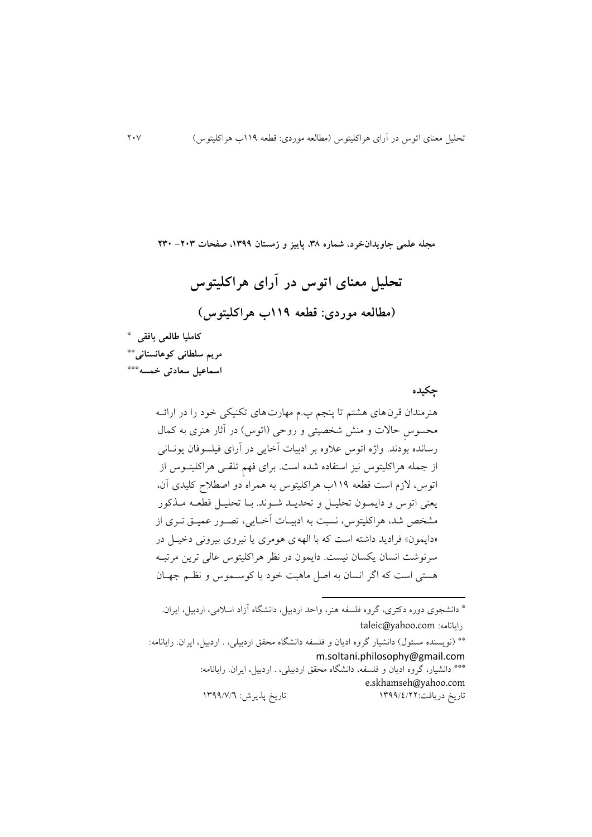**مجله علمی جاویدانخرد، شماره ،83 پاییز و زمستان ،9811 صفحات -308 380**

**تحلیل معنای اتوس در آرای هراکلیتوس )مطالعه موردی: قطعه 991ب هراکلیتوس(**

**کاملیا طالعی بافقی \* مریم سلطانی کوهانستانی\*\* اسماعیل سعادتی خمسه \*\*\***

 **چکیده**

هنرمندان قرنهای هشتم تا پنجم پ.م مهارتهای تکنیکی خود را در ارائهه محسوسِ حاالت و منش شخصیتی و روحی )اتوس( در آثار هنری به کمال رسانده بودند. واژه اتوس عالوه بر ادبیات آخايی در آرای فیلسوفان يونهانی از جمله هراکلیتوس نیز استفاده شده است. برای فهمِ تلقهی هراکلیتهوس از اتوس، الزم است قطعه 991ب هراکلیتوس به همراه دو اصطالح کلیدی آن، يعنی اتوس و دايمهون تحلیهل و تحديهد شهوند . بها تحلیهل قطعهه مهککور مشخص شد، هراکلیتوس، نسبت به ادبیهات آخهايی، تصهور عمیه تهری از »دايمون« فراديد داشته است که با الههی هومری يا نیروی بیرونی دخیهل در سرنوشت انسان يکسان نیست. دايمون در نظر هراکلیتوس عالی ترين مرتبهه هستی است که اگر انسان به اصل ماهیت خود يا کوسهموس و نظهم جههان

\* دانشجوی دوره دکتری، گروه فلسفه هنر، واحد اردبیل، دانشگاه آزاد اسالمی، اردبیل، ايران. taleic@yahoo.com :رايانامه

 $\overline{\phantom{a}}$ 

\*\* )نويسنده مسئول( دانشیار گروه اديان و فلسفه دانشگاه محق اردبیلی، . اردبیل، ايران. رايانامه: m.soltani.philosophy@gmail.com \*\*\* دانشیار، گروه اديان و فلسفه، دانشگاه محقق اردبیلی، . اردبیل، ايران. رايانامه: [e.skhamseh@yahoo.com](mailto:e.skhamseh@yahoo.com) تاريخ دريافت:١٣٩٩/٤/٢٢ تاريخ پذيرش: ١٣٩٩/٧/٦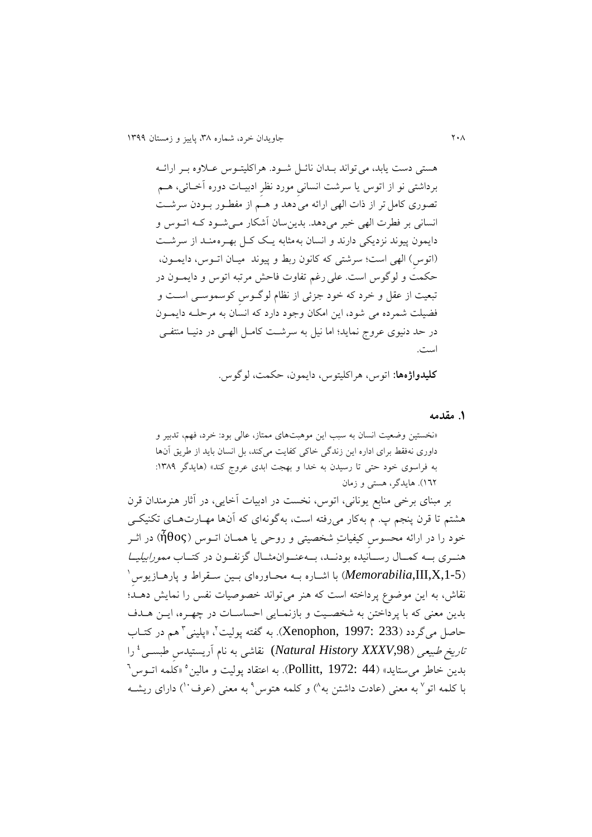هستی دست يابد، میتواند بهدان نائهل شهود . هراکلیتهوس عهالوه بهر ارائهه برداشتی نو از اتوس يا سرشت انسانیِ مورد نظرِ ادبیهات دوره آخهائی، ههم تصوری کامل تر از ذات الهی ارائه می دهد و هـم از مفطـور بـودن سرشـت انسانی بر فطرت الهی خبر میدهد. بدينسان آشکار مهی شهود کهه اتهوس و دايمون پیوند نزديکی دارند و انسان به مثابه يـک کـل بهـره منـد از سرشـت )اتوسِ( الهی است؛ سرشتی که کانون ربط و پیوند میهان اتهوس، دايمهون، حکمت و لوگوس است. علیرغم تفاوت فاحش مرتبه اتوس و دايمهون در تبعیت از عقل و خرد که خود جزئی از نظام لوگهوسِ کوسموسهی اسهت و فضیلت شمرده می شود، اين امکان وجود دارد که انسان به مرحلهه دايمهون در حد دنیوی عروج نمايد؛ اما نیل به سرشهت کامهل الههی در دنیها منتفهی است.

**کلیدواژهها:** اتوس، هراکلیتوس، دايمون، حکمت، لوگوس.

**.1 مقدمه**

»نخستین وضعیت انسان به سبب اين موهبتهای ممتاز، عالی بود: خرد، فهم، تدبیر و داوری نهفقط برای اداره اين زندگی خاکی کفايت میکند، بل انسان بايد از طريق آنها به فراسوی خود حتی تا رسیدن به خدا و بهجت ابدی عروج کند» (هایدگر ۱۳۸۹: 924(. هايدگر، هستی و زمان

بر مبنای برخی منابع يونانی، اتوس، نخست در ادبیات آخايی، در آثار هنرمندان قرن هشتم تا قرن پنجم پ. م بهکار میرفته است، بهگونهای که آنها مههارت ههای تکنیکهی خود را در ارائه محسوس کیفیاتِ شخصیتی و روحی یا همـان اتــوس (ἦθος) در اثــر هنــری بــه کمــال رســانیده بودنــد، بــهعنــوانهثــال گزنفــون در کتــاب *ممورابیلیــا* Memorabilia,III,X,1-5) با اشــاره بــه محــاورهای بــين ســقراط و پارهــازيوسِ ٰ نقاش، به اين موضوع پرداخته است که هنر میتواند خصوصیات نفس را نمايش دههد؛ بدين معنی که با پرداختن به شخصيت و بازنمـايی احساسـات در چهـره، ايــن هــدف حاصل میگردد (Xenophon, 1997: 233). به گفته پولیت'، «پلینی<sup>۳</sup> هم در کتــاب ت*اريخ طبيعي (Natural History XXXV,*98) نقاشی به نام آريستيدس طبســی ٔ را  $^{\backprime}$ . به اعتقاد پولیت و مالین $^{\circ}$  «کلمه اتــوس $^{\backprime}$  (Pollitt,  $1972$ : 44). به اعتقاد پولیت و مالین با کلمه اتو<sup>۷</sup> به معنی (عادت داشتن به<sup>۸</sup>) و کلمه هتوس<sup>۹</sup> به معنی (عرف<sup>۰۰</sup>) دارای ریشــه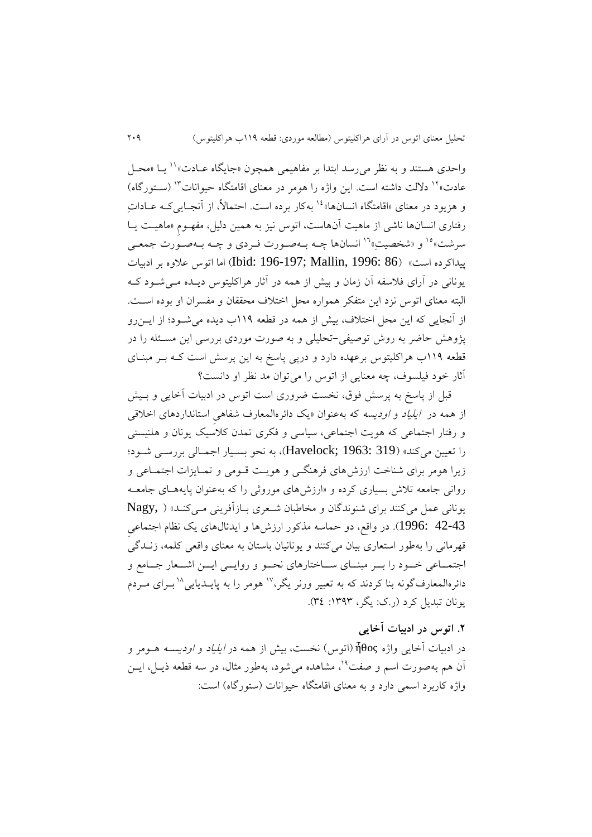واحدی هستند و به نظر می رسد ابتدا بر مفاهیمی همچون «جایگاه عـادت»'' یـا «محـل عادت»<sup>۱۲</sup> دلالت داشته است. اين واژه را هومر در معنای اقامتگاه حیوانات<sup>۱۳</sup> (سـتورگاه) و هزيود در معناي «اقامتگاه انسانها»<sup>، ۱۶</sup> بهکار برده است. احتمالاً، از آنجـايي کـه عــاداتِ رفتاری انسانها ناشی از ماهیت آنهاست، اتوس نیز به همین دلیل، مفههومِ »ماهیهت يها سرشت»°<sup>۱ </sup>و «شخصیتِ»<sup>۱۶</sup> انسانها چـه بـهصـورت فـردی و چـه بـهصـورت جمعـی پیداکرده است« )86 1996: ,Mallin; 196-197 :Ibid )اما اتوس عالوه بر ادبیات يونانی در آرای فالسفه آن زمان و بیش از همه در آثار هراکلیتوس ديهده مهی شهود کهه البته معنای اتوس نزد اين متفکر همواره محل اختلاف محققان و مفسران او بوده اسـت. از آنجايی که اين محل اختلاف، بيش از همه در قطعه ١١٩ب ديده می شـود؛ از ايــن رو پژوهش حاضر به روش توصیفی-تحلیلی و به صورت موردی بررسی اين مسهئله را در قطعه 991ب هراکلیتوس برعهده دارد و درپی پاسخ به اين پرسش است کهه بهر مبنهای آثار خود فیلسوف، چه معنایی از اتوس را می توان مد نظر او دانست؟

قبل از پاسخ به پرسش فوق، نخست ضروری است اتوس در ادبیات آخايی و بهیش از همه در *ايلياد و اوديسه* که بهعنوان «يک دائرهالمعارف شفاهیِ استانداردهای اخلاقی و رفتار اجتماعی که هويت اجتماعی، سياسی و فکری تمدن کلاسيک يونان و هلنيستی را تعیین میکند« )319 1963: ;Havelock)، به نحو بسهیار اجمهالی بررسهی شهود؛ زيرا هومر برای شناخت ارزشهای فرهنگهی و هويهت قهومی و تمهايزات اجتمهاعی و روانی جامعه تالش بسیاری کرده و »ارزشهای موروثی را که بهعنوان پايهههای جامعهه يونانی عمل میکنند برای شنوندگان و مخاطبان شهعری بهازآفرينی مهی کنهد « ) ,Nagy 42-43 :1996). در واقع، دو حماسه مذکور ارزشها و ايدئالهای يک نظام اجتماعی قهرمانی را بهطور استعاری بیان میکنند و يونانیان باستان به معنای واقعی کلمه، زنهدگی اجتمـاعی خـود را بـر مبنـای سـاختارهای نحـو و روايــی ايــن اشــعار جــامع و دائرەالمعارف گونه بنا کردند که به تعبیر ورنر یگر،<sup>۱۷</sup> هومر را به پایــدیایی<sup>۱۸</sup>بــرای مــردم يونان تبديل کرد (ر.ک: يگر، ١٣٩٣: ٣٤).

**.3 اتوس در ادبیات آخایی**  در ادبیات آخايی واژه ἦθος( اتوس( نخست، بیش از همه در ايلیاد و اوديسهه ههومر و آن هم بهصورت اسم و صفت<sup>۹</sup>'، مشاهده می شود، بهطور مثال، در سه قطعه ذيـل، ايــن واژه کاربرد اسمی دارد و به معنای اقامتگاه حیوانات (ستورگاه) است: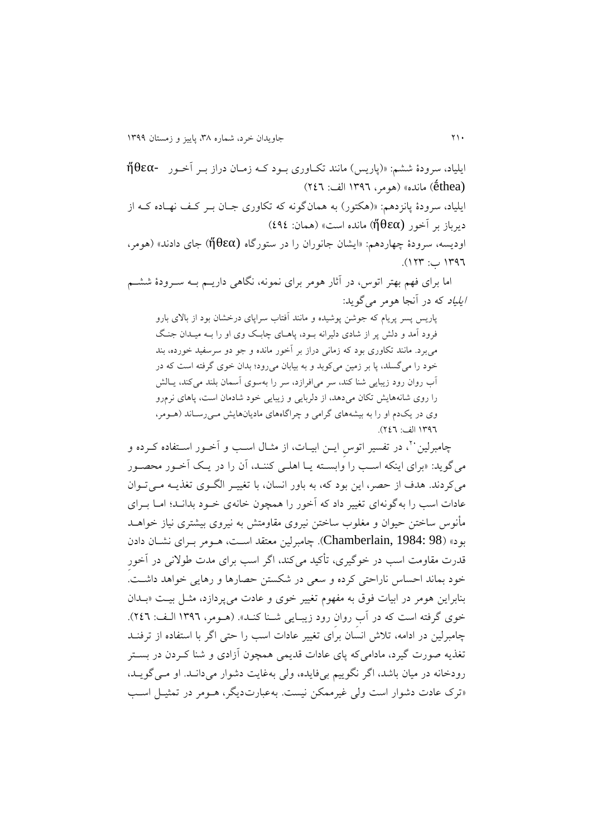ايلیاد، سرودۀ ششم: »)پاريس( مانند تکهاوری بهود کهه زمهان دراز بهر آخهور -ἤθεα (ḗthea )مانده« )هومر، 9812 الف: 422( ايلیاد، سرودۀ پانزدهم: »)هکتور( به همانگونه که تکاوری جهان بهر کهف نههاده کهه از  $(232 \text{ k})$ ديرباز بر آخور (ἤθεα) مانده است» (همان: 212) اوديسه، سرودۀ ههاردهم: »ايشان جانوران را در ستورگاه (ἤθεα )جای دادند« )هومر، 9812 ب: 948(.

اما برای فهم بهتر اتوس، در آثار هومر برای نمونه، نگاهی داريهم بهه سهرودۀ ششهم ايلیاد که در آنجا هومر میگويد:

پاريس پسر پريام که جوشن پوشیده و مانند آفتاب سراپای درخشان بود از باالی بارو فرود آمد و دلش پر از شادی دلیرانه بود، پاهـای چابـک وی او را بـه میـدان جنـگ میبرد. مانند تکاوری بود که زمانی دراز بر آخور مانده و جو دو سرسفید خورده، بند خود را میگسلد، پا بر زمین میکوبد و به بیابان میرود؛ بدان خوی گرفته است که در آب روان رود زيبايی شنا کند، سر میافرازد، سر را بهسوی آسمان بلند میکند، يهالش را روی شانههايش تکان میدهد، از دلربايی و زيبايی خود شادمان است، پاهای نرمرو وی در يک دم او را به بيشههای گرامی و چراگاههای ماديانهايش مهی رساند (هـومر، 9812 الف: 422(.

چامبرلین ٰ ٰ، در تفسیر اتوس ایــن ابیــات، از مثــال اســب و آخــور اســتفاده کــرده و میگويد: »برای اينکه اسهب را وابسهته يها اهلهی کننهد، آن را در يه آخهور محصهور میکردند. هدف از حصر، اين بود که، به باور انسان، با تغییـر الگـوی تغذیـه مـیتوان عادات اسب را بهگونهای تغییر داد که آخور را همچون خانهی خهود بدانهد؛ امها بهرای مأنوس ساختن حیوان و مغلوب ساختن نیروی مقاومتش به نیروی بیشتری نیاز خواههد بود« )98 1984: ,Chamberlain). هامبرلین معتقد اسهت، ههومر بهرای نشهان دادن قدرت مقاومت اسب در خوگیری، تأکید میکند، اگر اسب برای مدت طوالنی در آخورِ خود بماند احساس ناراحتی کرده و سعی در شکستن حصارها و رهايی خواهد داشهت. بنابراين هومر در ابيات فوق به مفهوم تغيير خوى و عادت مى پردازد، مثـل بيـت «بـدان خوی گرفته است که در آبِ روانِ رود زيبـايی شــنا کنــد». (هــومر، ١٣٩٦ الـف: ٢٤٦). هامبرلین در ادامه، تالش انسان برای تغییر عادات اسب را حتی اگر با استفاده از ترفنهد تغکيه صورت گیرد، مادامیکه پای عادات قديمی همچون آزادی و شنا کهردن در بسهتر رودخانه در میان باشد، اگر نگويیم بیفايده، ولی بهغايت دشوار میدانهد. او مهی گويهد، »ترک عادت دشوار است ولی غیرممکن نیست. بهعبارتديگر، ههومر در تمثیهل اسهب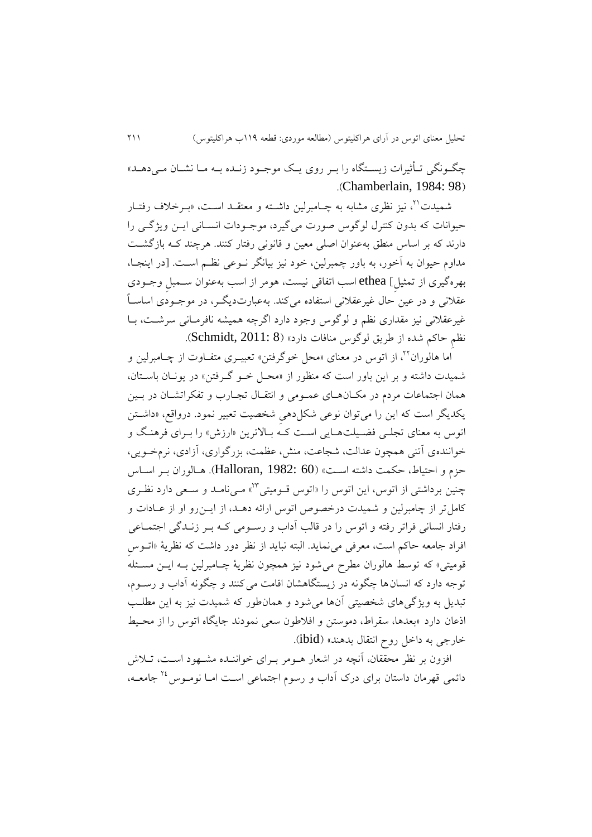جگـونگی تـأثیرات زیسـتگاه را بـر روی يـک موجـود زنـده بـه مـا نشـان مـی دهـد» .(Chamberlain, 1984: 98)

شمیدت<sup>۲۱</sup>، نیز نظری مشابه به چـامبرلین داشـته و معتقــد اسـت، «بــرخلاف رفتــار حیوانات که بدون کنترل لوگوس صورت میگیرد، موجهودات انسهانی ايهن ويژگهی را دارند که بر اساس منطق بهعنوان اصلی معین و قانونی رفتار کنند. هرچند کـه بازگشـت مداوم حیوان به آخور، به باور همبرلین، خود نیز بیانگر نهوعی نظهم اسهت. در اينجها، بهرهگیری از تمثیلِ[ ethea اسب اتفاقی نیست، هومر از اسب بهعنوان سهمبلِ وجهودی عقلانی و در عین حال غیرعقلانی استفاده میکند. بهعبارتدیگـر، در موجـودی اساسـاً غیرعقلانی نیز مقداری نظم و لوگوس وجود دارد اگرچه همیشه نافرمـانی سرشـت، بـا نظمِ حاکم شده از طريق لوگوس منافات دارد» (Schmidt, 2011: 8).

اما هالوران<sup>۲۲</sup>، از اتوس در معنای «محل خوگرفتن» تعبیــری متفــاوت از چــامبرلین و شمیدت داشته و بر اين باور است که منظور از »محهل خهو گهرفتن « در يونهان باسهتان، همان اجتماعات مردم در مکان های عمـومی و انتقـال تجـارب و تفکراتشـان در بـین يکديگر است که اين را میتوان نوعی شکلدهیِ شخصیت تعبیر نمود. درواقع، »داشهتن اتوس به معنای تجلبی فضیلتهايی است کـه بـالاترين «ارزش» را بـرای فرهنگ و خوانندهی آتنی همچون عدالت، شجاعت، منش، عظمت، بزرگواری، آزادی، نرمخهويی، حزم و احتیاط، حکمت داشته اسـت» (Halloran, 1982: 60). هـالوران بـر اسـاس چنین برداشتی از اتوس، این اتوس را «اتوس قـومیتی™» مـیiمامـد و سـعی دارد نظـری کامل تر از چامبرلین و شمیدت درخصوص اتوس ارائه دهــد، از ایــن٫رو او از عــادات و رفتار انسانی فراتر رفته و اتوس را در قالب آداب و رسهومی کهه بهر زنهدگی اجتمهاعی افراد جامعه حاکم است، معرفی مینمايد. البته نبايد از نظر دور داشت که نظريۀ »اتهوسِ قومیتی» که توسط هالوران مطرح می شود نیز همچون نظریۀ چـامبرلین بـه ایــن مسـئله توجه دارد که انسان ها چگونه در زيستگاهشان اقامت می کنند و چگونه آداب و رسـوم، تبديل به ويژگیهای شخصیتی آنها میشود و همانطور که شمیدت نیز به اين مطلهب اذعان دارد «بعدها، سقراط، دموستن و افلاطون سعی نمودند جایگاه اتوس را از محیط خارجی به داخل روح انتقال بدهند» (ibid).

افزون بر نظر محققان، آنچه در اشعار هــومر بــرای خواننــده مشــهود اســت، تــلاش دائمی قهرمان داستان برای درک آداب و رسوم اجتماعی است امـا نومـوس <sup>۲۶</sup> جامعـه،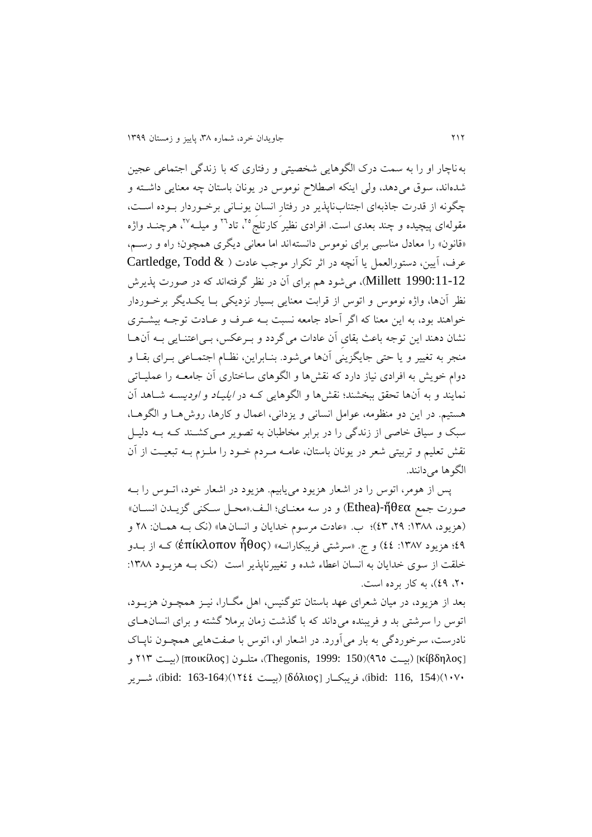بهناهار او را به سمت درک الگوهايی شخصیتی و رفتاری که با زندگی اجتماعی عجین شدهاند، سوق میدهد، ولی اينکه اصطالح نوموس در يونان باستان هه معنايی داشهته و هگونه از قدرت جاذبهای اجتنابناپکير در رفتارِ انسانِ يونهانی برخهوردار بهوده اسهت، مقولهای پیچیده و چند بعدی است. افرادی نظیر کارتلج°<sup>۲</sup>، تاد™ و میلــه™، هرچنــد واژه «قانون» را معادل مناسبی برای نوموس دانستهاند اما معانی دیگری همچون؛ راه و رسمه، عرف، آيين، دستورالعمل يا آنچه در اثر تكرار موجب عادت ( @ Cartledge, Todd 1990:11-12 Millett)، میشود هم برای آن در نظر گرفتهاند که در صورت پکيرش نظر آنها، واژه نوموس و اتوس از قرابت معنايی بسیار نزديکی بها يکهديگر برخهوردار خواهند بود، به اين معنا که اگر آحاد جامعه نسبت بهه عهر و عهادت توجهه بیشهتری نشان دهند اين توجه باعث بقای آن عادات می گردد و بـرعکس، بـیاعتنـایی بـه آنهـا منجر به تغییر و يا حتی جايگزينی آنها میشود. بنهابراين، نظهام اجتمهاعی بهرای بقها و دوام خويش به افرادی نياز دارد که نقشها و الگوهای ساختاری آن جامعــه را عمليــاتی نمايند و به آنها تحقق ببخشند؛ نقشها و الگوهايی کـه در *ايليـاد و اوديسـه* شــاهد آن هستیم. در اين دو منظومه، عوامل انسانی و يزدانی، اعمال و کارها، روشهها و الگوهها، سبک و سیاق خاصی از زندگی را در برابر مخاطبان به تصویر مـی کشــند کــه بــه دلیــل نقش تعلیم و تربیتی شعر در یونان باستان، عامــه مـردم خــود را ملــزم بــه تبعیــت از آن الگوها می دانند.

پس از هومر، اتوس را در اشعار هزيود میيابیم. هزيود در اشعار خود، اتهوس را بهه صورت جمع ἤθεα-)Ethea )و در سه معنهای؛ الهف. »محهل سهکنی گزيهدن انسهان « (هزيود، ١٣٨٨: ٢٩، ٤٣)؛ ب. «عادت مرسوم خدايان و انسان ها» (نک بـه همـان: ٢٨ و 21؛ هزيود :9832 22( و ج. »سرشتی فريبکارانهه « )ἦθος ἐπίκλοπον )کهه از بهدو خلقت از سوی خدايان به انسان اعطاء شده و تغييرناپذير است (نک بـه هزيـود ١٣٨٨: ،40 21(، به کار برده است.

بعد از هزيود، در میان شعرای عهد باستان تئوگنیس، اهل مگهارا، نیهز همچهون هزيهود، اتوس را سرشتی بد و فريبنده میداند که با گکشت زمان برمال گشته و برای انسانههای نادرست، سرخوردگی به بار میآورد. در اشعار او، اتوس با صفتهايی همچهون ناپهاک κίβδηλος( ]بیهت 122()150 1999: ,Thegonis)، متلهون ποικίλος( ]بیهت 498 و 9020()154 116, :ibid)، فريبکههار δόλιος( ]بیههت 9422()163-164 :ibid)، شههرير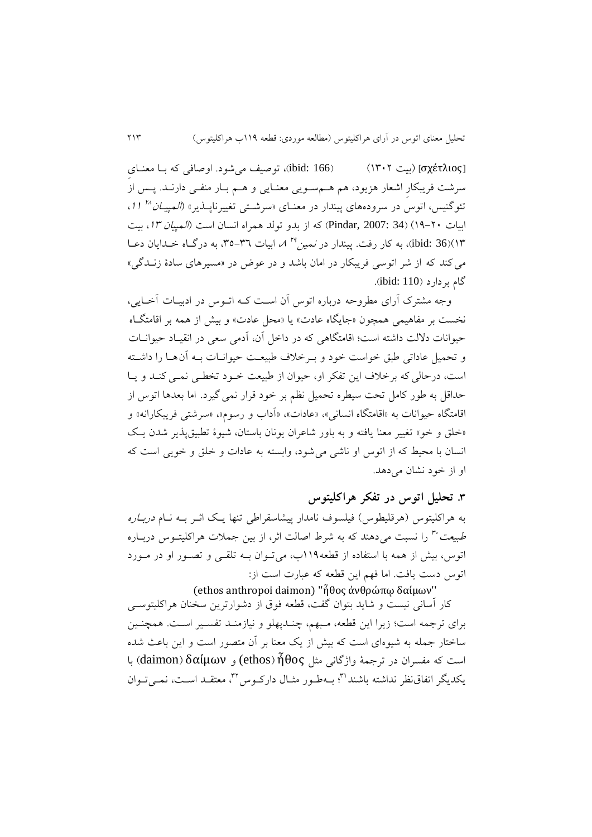σχέτλιος( ]بیت 9804( )166 :ibid)، توصیف میشود. اوصافی که بها معنهایِ سرشت فريبکارِ اشعار هزيود، هم ههم سهويی معنهايی و ههم بهار منفهی دارنهد . پهس از نئوگنیس، اتوس در سرودههای پیندار در معنـای «سرشـتی تغییرناپــذیر» *(المپیــان <sup>۲۸</sup> ۱۱*، ابیات 7۰-14) (34 :Pindar, 2007: 34) که از بدو تولد همراه انسان است (*المپیان ١٣،* بیت ibid: 36)(۱۲)، به کار رفت. پیندار در *نمین<sup>۲۹</sup> ۸،* ابیات ۳۱–۳۵، به درگــاه خــدایان دعــا میکند که از شر اتوسی فريبکار در امان باشد و در عوض در »مسیرهای سادۀ زنهدگی « گام بردارد )110 :ibid).

وجه مشترک آرای مطروحه درباره اتوس آن است کـه اتــوس در ادبیــات آخــایی، نخست بر مفاهیمی همچون «جايگاه عادت» يا «محل عادت» و بيش از همه بر اقامتگاه حیوانات داللت داشته است؛ اقامتگاهی که در داخل آن، آدمی سعی در انقیهاد حیوانهات و تحمیل عاداتی طبق خواست خود و بـرخلاف طبیعـت حیوانــات بــه آن۱مـا را داشــته است، درحالی که برخلاف اين تفکر او، حیوان از طبیعت خـود تخطـی نمـی کنـد و يـا حداقل به طور کامل تحت سیطره تحمیل نظم بر خود قرار نمیگیرد. اما بعدها اتوس از اقامتگاه حیوانات به »اقامتگاه انسانی«، »عادات«، »آداب و رسوم«، »سرشتی فريبکارانه« و «خلق و خو» تغییر معنا یافته و به باور شاعران یونان باستان، شیوۀ تطبیق پذیر شدن یک انسان با محیط که از اتوس او ناشی میشود، وابسته به عادات و خل و خويی است که او از خود نشان میدهد.

# **.8 تحلیل اتوس در تفکر هراکلیتوس**

به هراکلیتوس (هرقلیطوس) فیلسوف نامدار پیشاسقراطی تنها یـک اثـر بــه نــام *دربــاره* طبیعت<sup>.۳</sup> را نسبت می0هند که به شرط اصالت اثر، از بین جملات هراکلیتـوس دربـاره اتوس، بیش از همه با استفاده از قطعه991ب، میتهوان بهه تلقهی و تصهور او در مهورد اتوس دست يافت. اما فهم اين قطعه که عبارت است از:

### (ethos anthropoi daimon) ''ἦθος ἀνθρώπῳ δαίµων''

کار آسانی نیست و شايد بتوان گفت، قطعه فوق از دشوارترين سخنان هراکلیتوسهی برای ترجمه است؛ زيرا اين قطعه، مهبهم، هنهدپهلو و نیازمنهد تفسهیر اسهت. همچنهین ساختار جمله به شیوهای است که بیش از یک معنا بر آن متصور است و این باعث شده است که مفسران در ترجمۀ واژگانی مثل ἦθος( ethos (و δαίμων( daimon )با یکدیگر اتفاق نظر نداشته باشند''؟ بـهطـور مثـال دارکـوس'''، معتقـد اسـت، نـمـی تـوان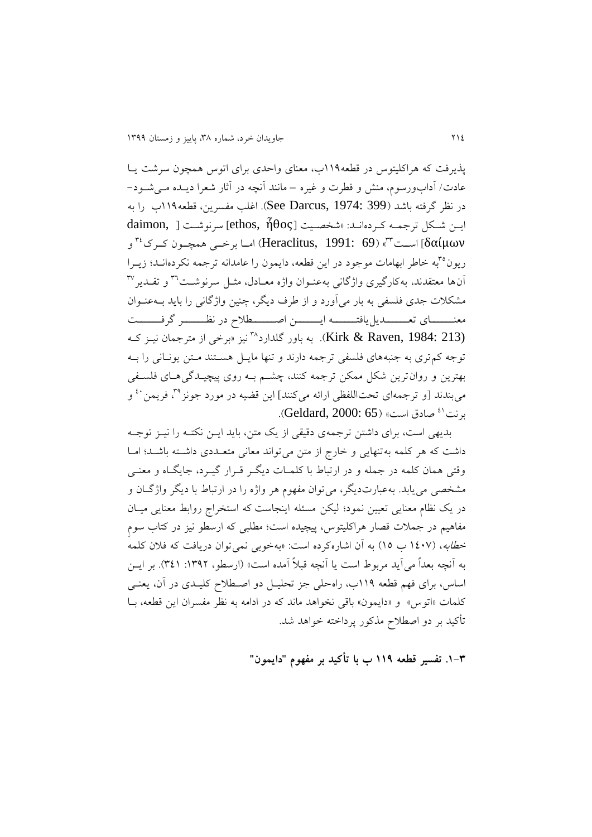پکيرفت که هراکلیتوس در قطعه991ب، معنای واحدی برای اتوس همچون سرشت يها عادت/ آدابورسوم، منش و فطرت و غیره – مانند آنچه در آثار شعرا ديهده مهی شهود - در نظر گرفته باشد )399 1974: ,Darcus See). اغلب مفسرين، قطعه991ب را به ايهن شهکل ترجمهه کهرده انهد: »شخصهیت ἦθος ,ethos ]سرنوشهت ,daimon اسا برخـي همچــون کــرک $^{\mathsf{r}\mathsf{r}}$  و Heraclitus, 1991: 69) اســت) [δαίμων ريون°"به خاطر ابهامات موجود در اين قطعه، دايمون را عامدانه ترجمه نكردهانــد؛ زيــرا أن۱ها معتقدند، بهکارگیری واژگانی بهعنـوان واژه معــادل، مثــل سرنوشــت<sup>۳٦</sup> و تقــدیر مشکالت جدی فلسفی به بار میآورد و از طر ديگر، هنین واژگانی را بايد بهه عنهوان معنههای تعهیمایا یافتههه ایسههای اصهههای در نظهههر گرفههه نیز «برخی از مترجمان نیـز کـه) Kirk & Raven, 1984: 213). به باور گلدارد™نیز «برخی از مترجمان نیـز کـه توجه کمتری به جنبههای فلسفی ترجمه دارند و تنها مايهل هسهتند مهتن يونهانی را بهه بهترين و روانترين شکل ممکن ترجمه کنند، هشهم بهه روی پیچیهدگی ههای فلسهفی میبندند [و ترجمهای تحتاللفظی ارائه میکنند] این قضیه در مورد جونز $^{^{_{\text{\tiny{\textsf{T}}}}}}$  فریمن ُ ٔ و برنت'<sup>،</sup> صادق است» (Geldard, 2000: 65).

بديهی است، برای داشتن ترجمهی دقیقی از يک متن، بايد ايــن نکتــه را نيــز توجــه داشت که هر کلمه بهتنهایی و خارج از متن میتواند معانی متعـددی داشـته باشـد؛ امـا وقتی همان کلمه در جمله و در ارتباط با کلمـات ديگـر قـرار گيـرد، جايگـاه و معنـی مشخصی می یابد. بهعبارتديگر، میتوان مفهوم هر واژه را در ارتباط با ديگر واژگـان و در يک نظام معنايی تعیین نمود؛ ليکن مسئله اينجاست که استخراج روابط معنايی ميـان مفاهیم در جمالت قصار هراکلیتوس، پیچیده است؛ مطلبی که ارسطو نیز در کتاب سومِ خ*طابه*، (۱٤۰۷ ب ۱0) به آن اشارهکرده است: «بهخوبی نمیتوان دریافت که فلان کلمه به آنچه بعداً می آيد مربوط است يا آنچه قبلاً آمده است» (ارسطو، ١٣٩٢: ٣٤١). بر ايــن اساس، برای فهم قطعه 991ب، راهحلی جز تحلیهل دو اصهطالح کلیهدی در آن، يعنهی کلمات »اتوس« و »دايمون« باقی نخواهد ماند که در ادامه به نظر مفسران اين قطعه، بها تأکید بر دو اصطالح مککور پرداخته خواهد شد.

**.9-8 تفسیر قطعه 991 ب با تأکید بر مفهوم "دایمون"**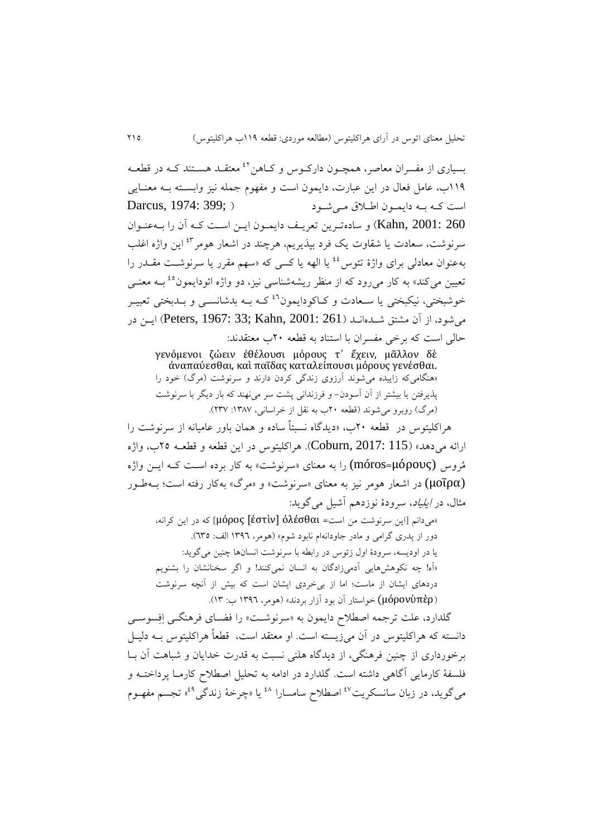بسیاری از مفسران معاصر، همچـون دارکـوس و کـاهن<sup>21</sup> معتقـد هسـتند کـه در قطعـه 991ب، عامل فعال در اين عبارت، دايمون است و مفهوم جمله نیز وابسهته بهه معنهايی است کهه بهه دايمهون اطهالق مهی شهود ) ;399 1974: ,Darcus 260 2001: ,Kahn )و سادهتهرين تعريهف دايمهون ايهن اسهت کهه آن را بهه عنهوان سرنوشت، سعادت يا شقاوت يک فرد بپذيريم، هرچند در اشعار هومر<sup>٤٢</sup> اين واژه اغلب به عنوان معادلی برای واژۀ تئوس <sup>؛</sup> یا الهه یا کسی که «سهم مقرر یا سرنوشت مقــدر را تعیین میکند» به کار میرود که از منظر ریشهشناسی نیز، دو واژه ائودایمون<sup>٤٥</sup> بــه معنــی خوشبختی، نیکبختی یا سـعادت و کـاکودايمون<sup>۶۱</sup>کـه بـه بدشانســی و بــدبختی تعبيـر میشود، از آن مشتق شـدهانـد (Peters, 1967: 33; Kahn, 2001: 261) ايــن در حالی است که برخی مفسران با استناد به قطعه 40ب معتقدند:

γενόμενοι ζώειν ἐθέλουσι μόρους τ᾽ ἔχειν, μᾶλλον δὲ ἀναπαύεσθαι, καὶ παῖδας καταλείπουσι μόρους γενέσθαι. «هنگامی که زاييده می شوند آرزوی زندگی کردن دارند و سرنوشت (مرگ) خود را پکيرفتن يا بیشتر از آن آسودن- و فرزندانی پشت سر مینهند که بار ديگر با سرنوشت (مرگ) روبرو می شوند (قطعه ۲۰ب به نقل از خراسانی، ۱۳۸۷: ۲۳۷).

هراکلیتوس در قطعه 40ب، »ديدگاه نسبتاً ساده و همان باور عامیانه از سرنوشت را ارائه میدهد» (Coburn, 2017: 115). هراکلیتوس در این قطعه و قطعـه ۲۵ب، واژه مُروس (μόρους=[móros](https://lsj.gr/index.php?search=%CE%BC%CF%8C%CF%81%CE%BF%CF%82&title=Special:Search&go=Go&fulltext=1) (را به معنای »سرنوشت« به کار برده اسهت کهه ايهن واژه (μοῖρα) در اشعار هومر نیز به معنای «سرنوشت» و «مرگ» بهکار رفته است؛ بهطـور ( مثال، در ايلیاد، سرودۀ نوزدهم آشیل میگويد:

»میدانم اين سرنوشت من است= ὀλέσθαι] ἐστὶν [μόρος ]که در اين کرانه، دور از پدری گرامی و مادر جاودانهام نابود شوم» (هومر، ۱۳۹۲ الف: ٦٣٥). يا در اوديسه، سرودۀ اول زئوس در رابطه با سرنوشت انسانها هنین میگويد: »آه! هه نکوهشهايی آدمیزادگان به انسان نمیکنند! و اگر سخنانشان را بشنويم دردهای ايشان از ماست؛ اما از بیخردی ايشان است که بیش از آنچه سرنوشت )[μόρον](http://www.perseus.tufts.edu/hopper/morph?l=mo%2Fron&la=greek&can=mo%2Fron0&prior=u(pe/r)[ὑπὲρ](http://www.perseus.tufts.edu/hopper/morph?l=u%28pe%5Cr&la=greek&can=u%28pe%5Cr0&prior=a)tasqali/h|sin) (خواستار آن بود آزار بردند« )هومر، 9812 ب: 98(.

گلدارد، علت ترجمه اصطلاح دايمون به «سرنوشت» را فضـای فرهنگـی اِفِسوسـی دانسته که هراکلیتوس در آن میزيسته است. او معتقد است، قطعاً هراکلیتوس بهه دلیهل برخورداری از هنین فرهنگی، از ديدگاه هلنی نسبت به قدرت خدايان و شباهت آن بها فلسفۀ کارمايی آگاهی داشته است. گلدارد در ادامه به تحلیل اصطالح کارمها پرداختهه و می گوید. در زبان سانسکریت<sup>۶۷</sup> اصطلاح سامسارا <sup>۱۸</sup> یا «چرخهٔ زندگی<sup>۶۹</sup>» تجسم مفهـوم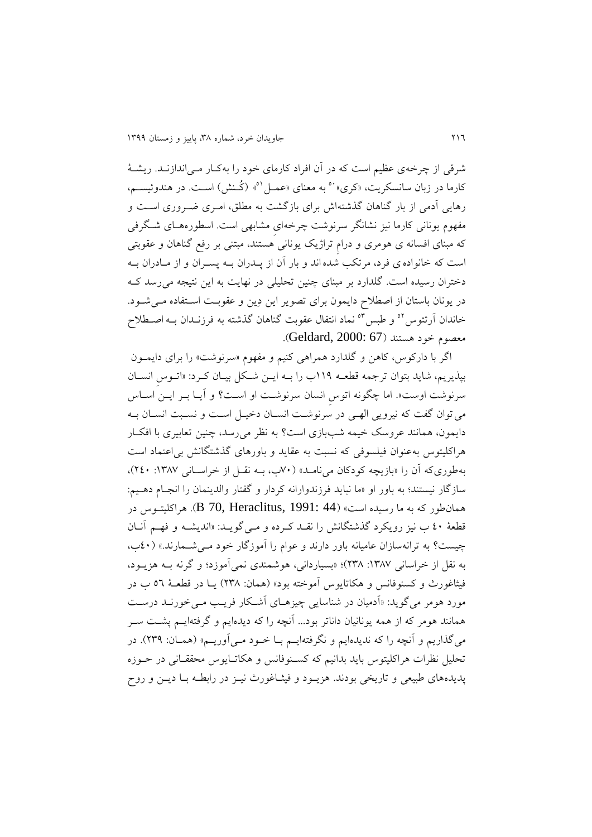شرقی از هرخهی عظیم است که در آن افراد کارمای خود را بهکهار مهی اندازنهد . ريشهۀ کارما در زبان سانسکريت، «کري»<sup>.ه</sup> به معنای «عمـل<sup>۵</sup>» (کُـنش) اسـت. در هندوئيسـم، رهايی آدمی از بار گناهان گذشتهاش برای بازگشت به مطلق، امـری ضـروری اسـت و مفهوم يونانی کارما نیز نشانگر سرنوشت هرخهایِ مشابهی است. اسطورهههای شهگرفی که مبنای افسانه ی هومری و درام تراژیک یونانی هستند، مبتنی بر رفع گناهان و عقوبتی است که خانوادهی فرد، مرتکب شدهاند و بار آن از پهدران بهه پسهران و از مهادران بهه دختران رسیده است. گلدارد بر مبنای چنین تحلیلی در نهایت به این نتیجه می رسد ک در يونان باستان از اصطلاح دايمون برای تصوير اين دِين و عقوبـت اســتفاده مــیشــود. خاندان أرتئوس<sup>01</sup> و طبس<sup>0</sup>° نماد انتقال عقوبت گناهان گذشته به فرزنـدان بــه اصــطلاح معصوم خود هستند (Geldard, 2000: 67).

اگر با دارکوس، کاهن و گلدارد همراهی کنیم و مفهوم »سرنوشت« را برای دايمهون بپذيريم، شايد بتوان ترجمه قطعـه ١١٩ب را بـه ايــن شـكل بيــان كـرد: «اتـوس انســان سرنوشت اوست». اما چگونه اتوس انسان سرنوشت او است؟ و آيـا بـر ايـن اسـاس میتوان گفت که نیرويی الههی در سرنوشهت انسهان دخیهل اسهت و نسهبت انسهان بهه دایمون، همانند عروسک خیمه شببازی است؟ به نظر می رسد، چنین تعابیری با افک ار هراکلیتوس بهعنوان فیلسوفی که نسبت به عقايد و باورهای گکشتگانش بیاعتماد است بهطوریکه آن را «بازيچه کودکان می نامـد» ( ۷۰ب، بـه نقـل از خراسـانی ۱۳۸۷: ۲٤۰)، سازگار نیستند؛ به باور او »ما نبايد فرزندوارانه کردار و گفتار والدينمان را انجهام دههیم : همانطور که به ما رسیده است« )44 1991: ,Heraclitus 70, B). هراکلیتهوس در قطعۀ 20 ب نیز رويکرد گکشتگانش را نقهد کهرده و مهی گويهد : »انديشهه و فههم آنهان هیست؟ به ترانهسازان عامیانه باور دارند و عوام را آموزگار خود مهی شهمارند. « )20ب، به نقل از خراسانی :9832 483(؛ »بسیاردانی، هوشمندی نمیآموزد؛ و گرنه بهه هزيهود، فیثاغورث و کسنوفانس و هکاتايوس آموخته بود« )همان: 483( يها در قطعهۀ 22 ب در مورد هومر میگويد: «آدمیان در شناسايی چیزهـای آشـكار فريـب مــی خورنــد درســت همانند هومر که از همه يونانیان داناتر بود... آنچه را که ديدهايم و گرفتهايهم پشهت سهر میگذاريم و آنچه را که نديدهايم و نگرفتهايــم بــا خــود مــیآوريــم» (همــان: ٢٣٩). در تحلیل نظرات هراکلیتوس باید بدانیم که کسـنوفانس و هکاتـایوس محققـانی در حــوزه پديدههای طبیعی و تاريخی بودند. هزيهود و فیثهاغورث نیهز در رابطهه بها ديهن و روح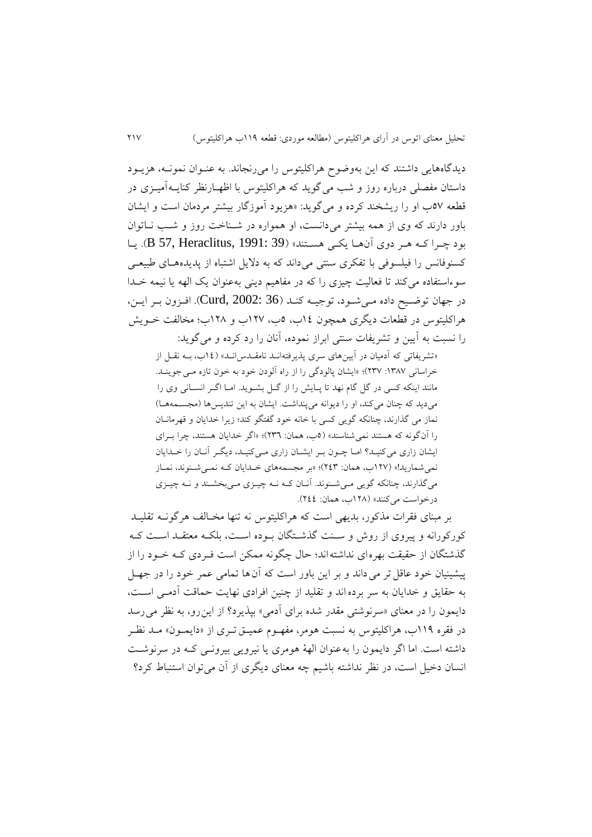ديدگاههايی داشتند که اين بهوضوح هراکلیتوس را میرنجاند. به عنهوان نمونهه، هزيهود داستان مفصلی درباره روز و شب میگويد که هراکلیتوس با اظههارنظر کنايهه آمیهزی در قطعه 22ب او را ريشخند کرده و میگويد: »هزيود آموزگار بیشتر مردمان است و ايشان باور دارند که وی از همه بیشتر میدانست، او همواره در شهناخت روز و شهب نهاتوان بود چرا کـه هـر دوی آنهـا يکـی هسـتند» (B 57, Heraclitus, 1991: 39). يـا کسنوفانس را فیلسوفی با تفکری سنتی میداند که به دلایل اشتباه از پدیدههای طبیعے سوءاستفاده میکند تا فعالیت چیزی را که در مفاهیم دینی بهعنوان یک الهه یا نیمه خـدا در جهان توضيح داده مـي شـود، توجيــه کنـد (Curd, 2002: 36). افـزون بـر ايـن، هراکلیتوس در قطعات ديگری همچون 92ب، 2ب، 942ب و 943ب؛ مخالفت خهويش را نسبت به آيین و تشريفات سنتی ابراز نموده، آنان را رد کرده و میگويد:

«تشريفاتی که آدمیان در آيينهای سری پذيرفتهانـد نامقــدس|نــد» (١٤ب، بــه نقــل از خراسانی ١٣٨٧: ٢٣٧)؛ «ايشان پالودگی را از راه آلودن خود به خون تازه مـی جوينـد. مانند اينکه کسی در گل گام نهد تا پهايش را از گهل بشهويد . امها اگهر انسهانی وی را می ديد که چنان می کند، او را ديوانه می پنداشت. ايشان به اين تنديس ها (مجســمههــا) نماز می گذارند، چنانکه گويی کسی با خانه خود گفتگو کند؛ زيرا خدايان و قهرمانـان را آنگونه که هستند نمیشناسند« )2ب، همان: 482(؛ »اگر خدايان هستند، هرا بهرای ايشان زاری میکنیهد؟ امها ههون بهر ايشهان زاری مهی کنیهد، ديگهر آنهان را خهدايان نمی شماريد!» (١٢٧مه، همان: ٢٤٣)؛ «بر مجسمههای خلدايان کـه نمـی شـنوند، نمـاز می گذارند، چنانکه گويی می شـنوند. آنـان کـه نـه چیـزی مـی بخشـند و نـه چیـزی درخواست می کنند» (۱۲۸ب، همان: ٢٤٤).

بر مبنای فقرات مککور، بديهی است که هراکلیتوس نه تنها مخهالف هرگونهه تقلیهد کورکورانه و پیروی از روش و سـنت گذشـتگان بـوده اسـت، بلکـه معتقـد اسـت کـه گکشتگان از حقیقت بهرهای نداشتهاند؛ حال هگونه ممکن است فهردی کهه خهود را از پیشینیان خود عاقل تر می داند و بر این باور است که آن ها تمامی عمر خود را در جهـل به حقايق و خدايان به سر برده اند و تقليد از چنين افرادي نهايت حماقت آدمـي اسـت، دايمون را در معنای «سرنوشتی مقدر شده برای آدمی» بپذيرد؟ از اين رو، به نظر می رسد در فقره ۱۱۹ب، هراکلیتوس به نسبت هومر، مفهـوم عمیـق تـری از «دایمـون» مـد نظـر داشته است. اما اگر دايمون را بهعنوان الهۀ هومری يا نیرويی بیرونهی کهه در سرنوشهت انسان دخیل است، در نظر نداشته باشیم هه معنای ديگری از آن میتوان استنباو کرد؟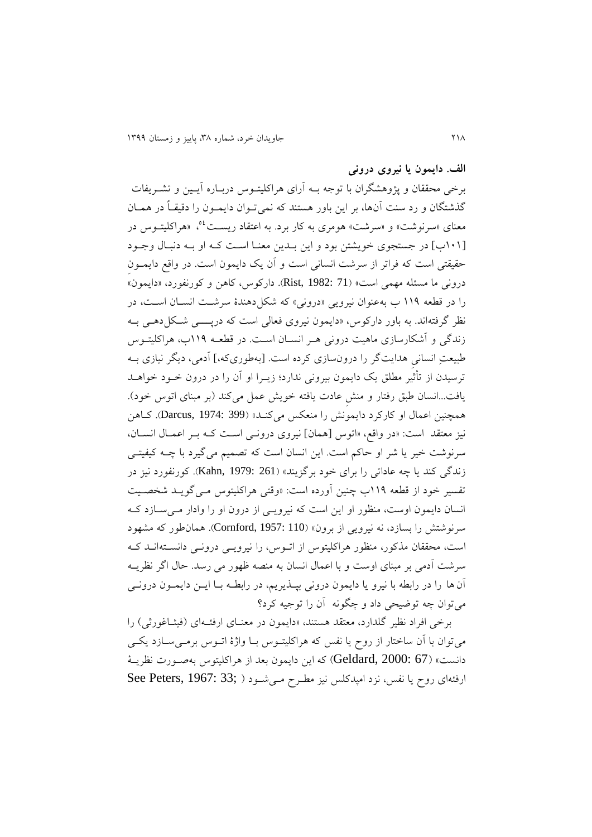**الف. دایمون یا نیروی درونی**

برخی محققان و پژوهشگران با توجه بهه آرای هراکلیتهوس دربهاره آيهین و تشهريفات گذشتگان و رد سنت آنها، بر اين باور هستند که نمي تـوان دايمــون را دقيقــاً در همــان معنای «سرنوشت» و «سرشت» هومری به کار برد. به اعتقاد ریســت<sup>06</sup>. «هراکلیتــوس در 909ب[ در جستجوی خويشتن بود و اين بهدين معنها اسهت کهه او بهه دنبهال وجهود حقیقتی است که فراتر از سرشت انسانی است و آن یک دایمون است. در واقع دایمــون درونی ما مسئله مهمی است« )71 1982: ,Rist). دارکوس، کاهن و کورنفورد، »دايمون« را در قطعه ۱۱۹ ب بهعنوان نیرویی «درونی» که شکلدهندۀ سرشـت انسـان اسـت، در نظر گرفتهاند. به باور دارکوس، »دايمون نیروی فعالی است که درپهههی شهکل دههی بهه زندگی و آشکارسازی ماهیت درونی ههر انسهان اسهت. در قطعهه 991ب، هراکلیتهوس طبیعتِ انسانیِ هدايتگر را درونسازی کرده است. بهطوریکه،[ آدمی، ديگر نیازی بهه ترسیدن از تأثیّر مطلق یک دايمون بیرونی ندارد؛ زيــرا او آن را در درون خــود خواهــد يافت...انسان طبق رفتار و منش عادت يافته خويش عمل میکند (بر مبنای اتوس خود). همچنین اعمال او کارکرد دايمونش را منعکس میکند» (Darcus, 1974: 399). کاهن نیز معتقد است: »در واقع، »اتوس همان[ نیروی درونهی اسهت کهه بهر اعمهال انسهان، سرنوشت خیر يا شر او حاکم است. اين انسان است که تصمیم میگیرد با ههه کیفیتهی زندگی کند يا چه عاداتی را برای خود برگزيند» (Kahn, 1979: 261). کورنفورد نيز در تفسیر خود از قطعه 991ب هنین آورده است: »وقتی هراکلیتوس مهی گويهد شخصهیت انسان دايمون اوست، منظور او اين است که نیرويهی از درون او را وادار مهی سهازد کهه سرنوشتش را بسازد، نه نیرويی از برون« )110 1957: ,Cornford). همانطور که مشهود است، محققان مککور، منظور هراکلیتوس از اتهوس، را نیرويهی درونهی دانسهته انهد کهه سرشت آدمی بر مبنای اوست و با اعمال انسان به منصه ظهور می رسد. حال اگر نظريهه آن ها را در رابطه با نیرو يا دايمون درونی بپهکيريم، در رابطهه بها ايهن دايمهون درونهی میتوان هه توضیحی داد و هگونه آن را توجیه کرد؟

برخی افراد نظیر گلدارد، معتقد هستند، «دایمون در معنـای ارفئــهای (فیثــاغورثی) را میتوان با آن ساختار از روح يا نفس که هراکلیتهوس بها واژۀ اتهوس برمهی سهازد يکهی دانست» (Geldard, 2000: 67) که اين دايمون بعد از هراکليتوس بهصورت نظريـهٔ ارفئهای روح يا نفس، نزد امپدکلس نيز مطـرح مـيشـود ( ;33 :1967 See Peters , 1967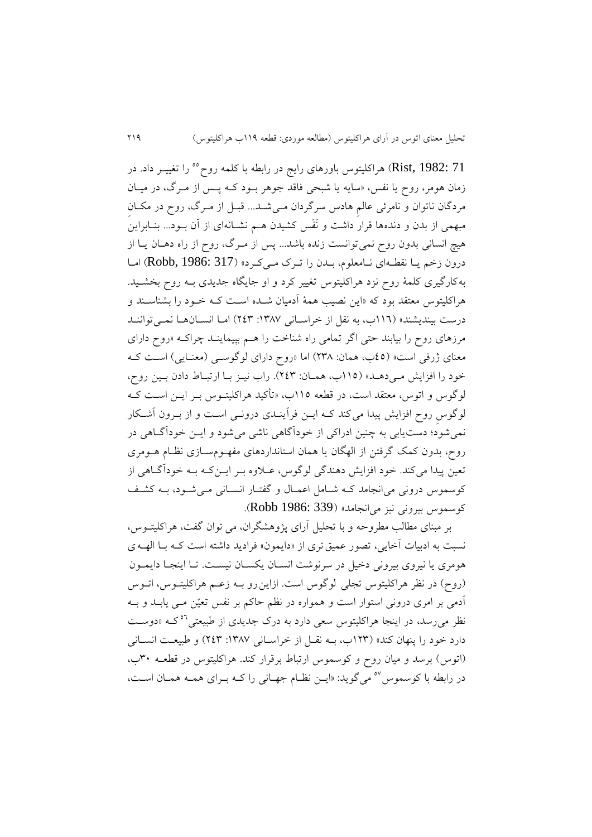را تغییهر داد. در <sup>22</sup> 71 1982: ,Rist )هراکلیتوس باورهای رايج در رابطه با کلمه روح زمان هومر، روح يا نفس، »سايه يا شبحی فاقد جوهر بهود کهه پهس از مهرگ، در میهان مردگان ناتوان و نامرئی عالمِ هادس سرگردان مهی شهد... قبهل از مهرگ، روح در مکهانِ مبهمی از بدن و دندهها قرار داشت و نَفَس کشیدن ههم نشهانه ای از آن بهود... بنهابراين هیچ انسانی بدون روح نمیتوانست زنده باشد... پس از مهرگ، روح از راه دههان يها از درون زخم يـا نقطـهاى نـامعلوم، بـدن را تـرک مـىکرد» (Robb, 1986: 317) امـا بهکارگیری کلمۀ روح نزد هراکلیتوس تغییر کرد و او جايگاه جديدی بهه روح بخشهید. هراکلیتوس معتقد بود که »اين نصیب همۀ آدمیان شهده اسهت کهه خهود را بشناسهند و درست بینديشند« )992ب، به نقل از خراسهانی :9832 428( امها انسهان هها نمهی تواننهد مرزهای روح را بیابند حتی اگر تمامی راه شناخت را هـم بپیماینــد چراکــه «روح دارای معنای ژرفی است» (٤٥ب، همان: ٢٣٨) اما «روح دارای لوگوسهی (معنـایی) اسـت کـه خود را افزايش مهی دهـد» (١١٥ب، همـان: ٢٤٣). راب نيـز بـا ارتبـاط دادن بـين روح، لوگوس و اتوس، معتقد است، در قطعه 992ب، »تأکید هراکلیتهوس بهر ايهن اسهت کهه لوگوسِ روح افزايش پیدا میکند کهه ايهن فرآينهدی درونهی اسهت و از بهرون آشهکار نمیشود؛ دستيابی به هنین ادراکی از خودآگاهی ناشی میشود و ايهن خودآگهاهی در روح، بدون کمک گرفتن از الهگان يا همان استانداردهای مفهـومسـازی نظـام هـومری تعین پیدا میکند. خود افزايش دهندگی لوگوس، عـلاوه بـر ايــنکـه بــه خودآگــاهی از کوسموس درونی می|نجامد کـه شــامل اعمــال و گفتــار انســانی مــیشــود، بــه کشــف کوسموس بیرونی نیز میانجامد« )339 1986: Robb).

بر مبنای مطالب مطروحه و با تحلیل آرای پژوهشگران، می توان گفت، هراکلیتهوس، نسبت به ادبیات آخايي، تصور عميق تري از «دايمون» فراديد داشته است كـه بـا الهـه ي هومری يا نیروی بیرونی دخیل در سرنوشت انسهان يکسهان نیسهت . تها اينجها دايمهون (روح) در نظر هراکلیتوس تجلی لوگوس است. ازاين رو بـه زعـم هراکلیتـوس، اتـوس آدمی بر امری درونی استوار است و همواره در نظم حاکم بر نفس تعیّن مهی يابهد و بهه نظر میرسد، در اينجا هراکليتوس سعی دارد به درک جديدی از طبیعتی<sup>۵۲</sup>کـه «دوسـت دارد خود را پنهان کند« )948ب، بهه نقهل از خراسهانی :9832 428( و طبیعهت انسهانی )اتوس( برسد و میان روح و کوسموس ارتباو برقرار کند. هراکلیتوس در قطعهه 80ب، در رابطه با کوسموس <sup>٥٧</sup> میگويد: «ايــن نظــام جهــانی را کــه بــرای همــه همــان اســت،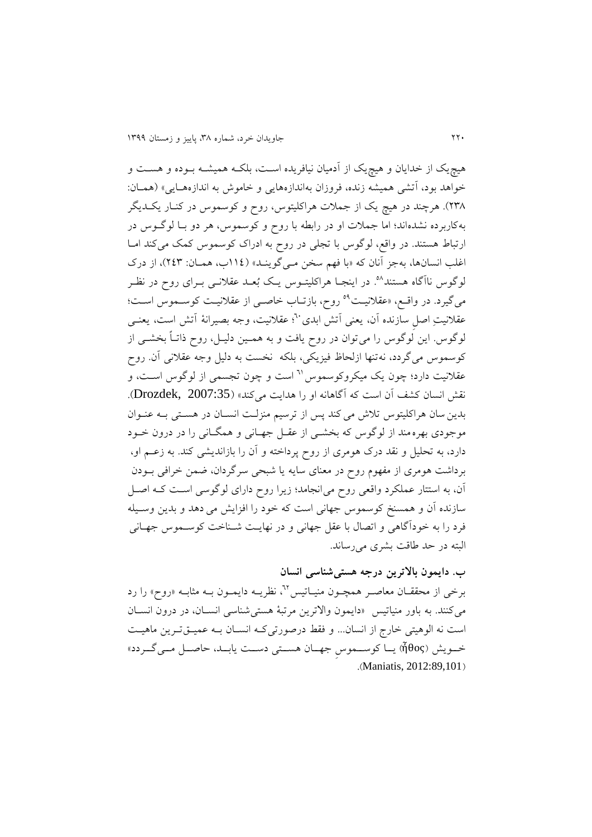هیچي از خدايان و هیچي از آدمیان نیافريده اسهت، بلکهه همیشهه بهوده و هسهت و خواهد بود، آتشی همیشه زنده، فروزان بهاندازههایی و خاموش به اندازههـایی» (همـان: ۲۳۸). هرچند در هیچ يک از جملات هراکلیتوس، روح و کوسموس در کنـار يکــديگر بهکاربرده نشدهاند؛ اما جمالت او در رابطه با روح و کوسموس، هر دو بها لوگهوس در ارتباط هستند. در واقع، لوگوس با تجلی در روح به ادراک کوسموس کمک میکند اما اغلب انسانها، بهجز آنان که «با فهم سخن مـیگوینـد» (١١٤ب، همـان: ٢٤٣)، از درک لوگوس ناآگاه هستند<sup>۹</sup>. در اينجـا هراکليتــوس يـک بُعــد عقلانـــی بــرای روح در نظــر میگیرد. در واقــع، «عقلانیــت<sup>هه</sup> روح، بازتــاب خاصــی از عقلانیــت کوســموس اســت؛ عقلانيتِ اصلِ سازنده آن، يعني آتش ابدی``؛ عقلانيت، وجه بصيرانۀ آتش است، يعنـي لوگوس. اين لوگوس را میتوان در روح يافت و به همهین دلیهل، روح ذاتهاً بخشهی از کوسموس میگردد، نهتنها ازلحاظ فیزيکی، بلکه نخست به دلیل وجه عقالنی آن. روح عقلانیت دارد؛ چون یک میکروکوسموس <sup>٦</sup>١ است و چون تجسمی از لوگوس است، و نقش انسان کشف آن است که آگاهانه او را هدايت میکند« )2007:35 ,Drozdek). بدينسان هراکلیتوس تالش میکند پس از ترسیم منزلهت انسهان در هسهتی بهه عنهوان موجودی بهرهمند از لوگوس که بخشهی از عقهل جههانی و همگهانی را در درون خهود دارد، به تحلیل و نقد درک هومری از روح پرداخته و آن را بازانديشی کند. به زعهم او، برداشت هومری از مفهوم روح در معنای سايه يا شبحی سرگردان، ضمن خرافی بهودن آن، به استتار عملکرد واقعی روح میانجامد؛ زيرا روح دارای لوگوسی اسهت کهه اصهل سازنده آن و همسنخ کوسموس جهانی است که خود را افزايش می دهد و بدين وسهیله فرد را به خودآگاهی و اتصال با عقل جهانی و در نهايهت شهناخت کوسهموس جههانی البته در حد طاقت بشری میرساند.

**ب. دایمون باالترین درجه هستیشناسی انسان**  برخی از محققـان معاصـر همچـون منيـاتيس™، نظريــه دايمـون بــه مثابــه «روح» را رد میکنند. به باور منیاتیس »دايمون واالترين مرتبۀ هستیشناسی انسهان، در درون انسهان است نه الوهیتی خارج از انسان... و فقط درصورتیکه انسـان بـه عمیــقتـرین ماهیـت خهویش (ἦθος) يـا کوسـموس جهـان هسـتی دسـت يابـد، حاصـل مـي گـردد» .(Maniatis, 2012:89,101)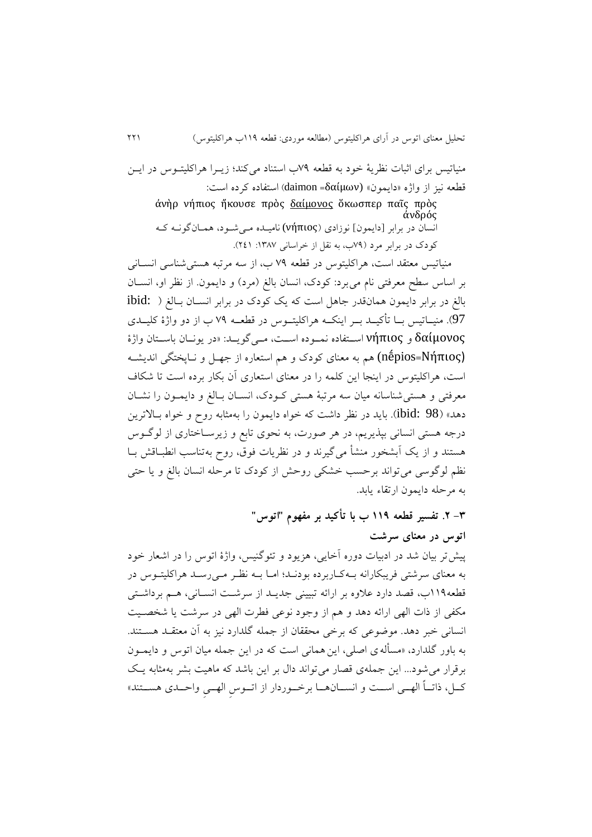منیاتیس برای اثبات نظریۀ خود به قطعه ۷۹ب استناد می کند؛ زیبرا هراکلیتبوس در ایس قطعه نیز از واژه »دايمون« (δαίμων =daimon )استفاده کرده است:

ἀνὴρ νήπιος ἤκουσε πρὸς δαίμονος ὅκωσπερ παῖς πρὸς ἀνδρός انسان در برابر [دايمون] نوزادي (νήπιος) ناميـده مـی شـود، همـانگونـه کـه کودک در برابر مرد )21ب، به نقل از خراسانی :9832 429(.

منیاتیس معتقد است، هراکلیتوس در قطعه ۷۹ ب، از سه مرتبه هستی شناسی انسـانی بر اساس سطح معرفتی نام میبرد: کودک، انسان بالغ (مرد) و دايمون. از نظر او، انسـان بالغ در برابر دايمون همانقدر جاهل است که يک کودک در برابر انسـان بـالغ ( :ibid 97). منیــاتیس بــا تأکیــد بــر اینکــه هراکلیتــوس در قطعــه ۷۹ ب از دو واژۀ کلیــدی δαίμονος و νήπιος استفاده نموده است، مهی گويـد: «در يونـان باسـتان واژۀ (Νήπιος=nḗpios (هم به معنای کودک و هم استعاره از جههل و نهاپختگی انديشهه است، هراکلیتوس در اينجا اين کلمه را در معنای استعاری آن بکار برده است تا شکا معرفتی و هستیشناسانه میان سه مرتبۀ هستی کهودک، انسهان بهالغ و دايمهون را نشهان دهد» (ibid: 98). بايد در نظر داشت که خواه دايمون را بهمثابه روح و خواه بـالاترين درجه هستی انسانی بپکيريم، در هر صورت، به نحوی تابع و زيرسهاختاری از لوگهوس هستند و از يک آبشخور منشأ میگیرند و در نظريات فوق، روح به تناسب انطبـاقش بـا نظم لوگوسی میتواند برحسب خشکی روحش از کودک تا مرحله انسان بالغ و يا حتی به مرحله دايمون ارتقاء يابد.

> **-8 .3 تفسیر قطعه 991 ب با تأکید بر مفهوم "اتوس" اتوس در معنای سرشت**

پیشتر بیان شد در ادبیات دوره آخايی، هزيود و تئوگنیس، واژۀ اتوس را در اشعار خود به معنای سرشتی فريبکارانه بهه کهاربرده بودنهد؛ امها بهه نظهر مهی رسهد هراکلیتهوس در قطعه991ب، قصد دارد عالوه بر ارائه تبیینی جديهد از سرشهت انسهانی، ههم برداشهت ی مکفی از ذات الهی ارائه دهد و هم از وجود نوعی فطرت الهی در سرشت يا شخصهیت انسانی خبر دهد. موضوعی که برخی محققان از جمله گلدارد نیز به آن معتقهد هسهتند. به باور گلدارد، »مسألهی اصلی، اينهمانی است که در اين جمله میان اتوس و دايمهون برقرار میشود... اين جملهی قصار میتواند دال بر اين باشد که ماهیت بشر بهمثابه يه کها، ذاتــاً الهــي اســت و انســـانهـــا برخــوردار از اتــوس الهــي واحــدی هســـتند»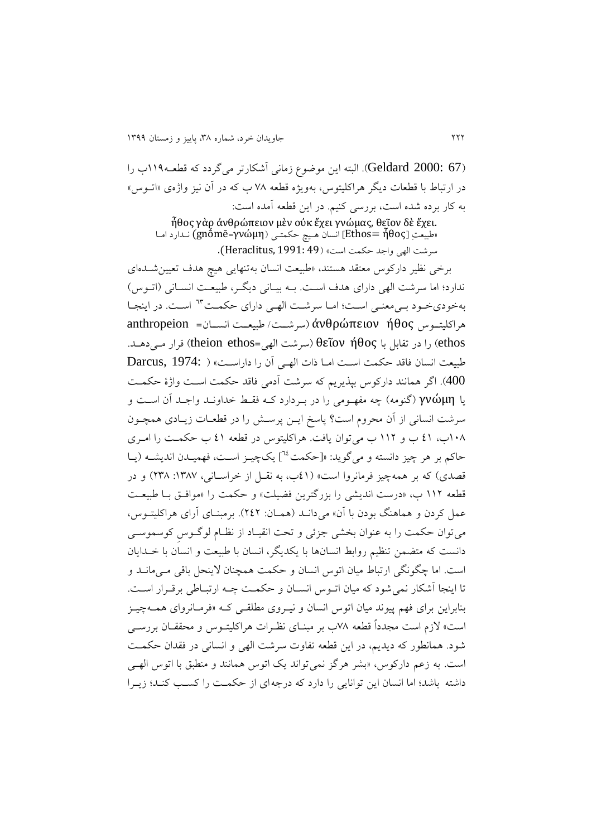)67 2000: Geldard). البته اين موضوع زمانی آشکارتر میگردد که قطعهه 991ب را در ارتباط با قطعات ديگر هراکليتوس، بهويژه قطعه ۷۸ ب که در آن نيز واژهی «اتــوس» به کار برده شده است، بررسی کنیم. در اين قطعه آمده است:

ἦθος γὰρ ἀνθρώπειον μὲν οὐκ ἔχει γνώμας, θεῖον [δὲ](http://philoctetes.free.fr/de.html) ἔχει. »طبیعتِ ἦθος= Ethos ]انسان ههیچ حکمتهی )γνώμη=gnṓmē (نهدارد امها سرشت الهی واجد حکمت است« )49 1991: ,Heraclitus).

برخی نظیر دارکوس معتقد هستند، «طبیعت انسان بهتنهایی هیچ هدف تعیین شـدهای ندارد؛ اما سرشت الهی دارای هدف است. بـه بیـانی دیگـر، طبیعـت انسـانی (اتـوس) بهخودیخود بمی معنی است؛ اما سرشت الهی دارای حکمت <sup>٦٣</sup> است. در اینجا هراکلیتههوس ήθος ἀνθρώπειον( سرشههت/ طبیعههت انسههان= anthropeion را در تقابل با θεῖον ήθος (سرشت الهی=theion ethos) قرار می دهـد.  $\theta$ εῖον ήθος ) طبیعت انسان فاقد حکمت است اما ذات الهی آن را داراست» ( Darcus, 1974: ) 400(. اگر همانند دارکوس بپکيريم که سرشت آدمی فاقد حکمت اسهت واژۀ حکمهت يا γνώμη (گنومه) چه مفهـومی را در به دارد کـه فقـط خداونـد واجـد آن اسـت و سرشت انسانی از آن محروم است؟ پاسخ ايهن پرسهش را در قطعهات زيهادی همچهون 903ب، 29 ب و 994 ب میتوان يافت. هراکلیتوس در قطعه 29 ب حکمهت را امهری حاکم بر هر چيز دانسته و می گويد: «[حکمت <sup>٢٤</sup>] يکچيـز اسـت، فهميـدن انديشــه (يــا قصدی) که بر همهچیز فرمانروا است» (٤١ب، به نقـل از خراسـانی، ١٣٨٧: ٢٣٨) و در قطعه ۱۱۲ ب، «درست انديشي را بزرگترين فضيلت» و حکمت را «موافـق بـا طبيعـت عمل کردن و هماهنگ بودن با آن» میدانـد (همـان: ٢٤٢). برمبنـای آرای هراکلیتـوس، میتوان حکمت را به عنوان بخشی جزئی و تحت انقیهاد از نظهام لوگهوسِ کوسموسهی دانست که متضمن تنظیم روابط انسانها با يکديگر، انسان با طبیعت و انسان با خهدايان است. اما هگونگی ارتباو میان اتوس انسان و حکمت همچنان الينحل باقی مهی مانهد و تا اینجا آشکار نمی شود که میان اتـوس انسـان و حکمـت چـه ارتبـاطی برقـرار اسـت. بنابراین برای فهم پیوند میان اتوس انسان و نیـروی مطلقــی کــه «فرمــانروای همــهچیــز است» لازم است مجدداً قطعه ۷۸ب بر مبنـای نظـرات هراکلیتـوس و محققـان بررسـی شود. همانطور که ديديم، در اين قطعه تفاوت سرشت الهی و انسانی در فقدان حکمهت است. به زعم دارکوس، «بشر هرگز نمی تواند يک اتوس همانند و منطبق با اتوس الههی داشته باشد؛ اما انسان اين توانايی را دارد که درجهای از حکمهت را کسهب کنهد؛ زيهرا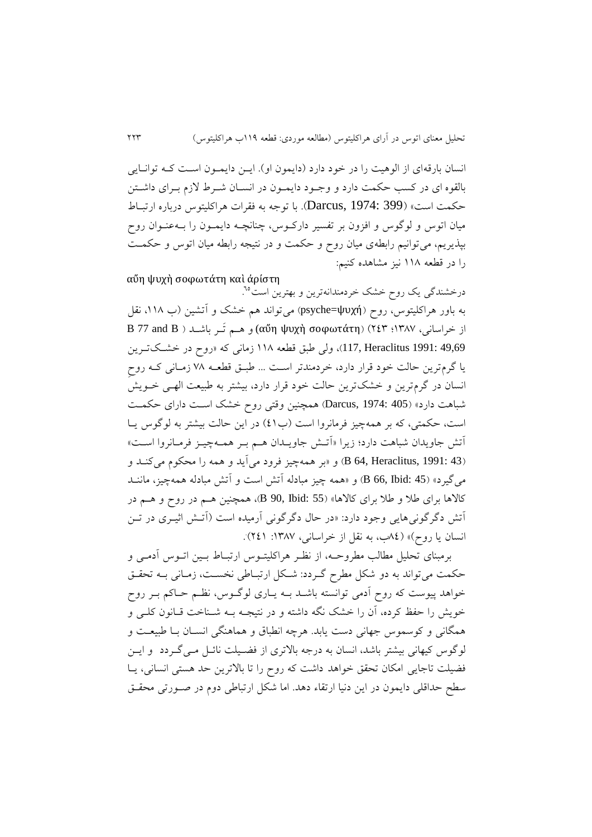انسان بارقهای از الوهیت را در خود دارد (دايمون او). ايـن دايمـون اسـت کـه توانـايی بالقوه ای در کسب حکمت دارد و وجـود دايمـون در انسـان شـرط لازم بـرای داشـتن حکمت است« )399 1974: ,Darcus). با توجه به فقرات هراکلیتوس درباره ارتبهاو میان اتوس و لوگوس و افزون بر تفسیر دارکوس، چنانچـه دایمـون را بـهعنـوان روح بپکيريم، میتوانیم رابطهی میان روح و حکمت و در نتیجه رابطه میان اتوس و حکمهت را در قطعه 993 نیز مشاهده کنیم:

αὔη ψυχὴ σοφωτάτη [κα](http://philoctetes.free.fr/kai.html)ὶ ἀρίστη

درخشندگی يک روح خشک خردمندانهترين و بهترين است<sup>10</sup>. . به باور هراکلیتوس، روح )ψυχή=psyche )میتواند هم خش و آتشین )ب ،993 نقل از خراسانی، 9832؛ 428( )σοφωτάτη ψυχ<sup>ὴ</sup> <sup>α</sup>ὔ<sup>η</sup> (و ههم تَهر باشهد ) B and 77 B 49,69 :1991 17, Heraclitus)، ولی طبق قطعه ١١٨ زمانی که «روح در خشـكتـرين يا گرمترين حالت خود قرار دارد، خردمندتر اسهت ... طبه قطعهه 23 زمهانی کهه روحِ انسان در گرمترين و خشك ترين حالت خود قرار دارد، بيشتر به طبيعت الهمى خـويش شباهت دارد» (Darcus, 1974: 405) همچنین وقتی روح خشک است دارای حکمت است، حکمتی، که بر همهچیز فرمانروا است (ب٤١) در اين حالت بيشتر به لوگوس يـا آتش جاويدان شباهت دارد؛ زيرا »آتهش جاويهدان ههم بهر همهه هیهز فرمهانروا اسهت « )43 1991: ,Heraclitus 64, B )و »بر همههیز فرود میآيد و همه را محکوم میکنهد و میگیرد« )45 :Ibid 66, B )و »همه هیز مبادله آتش است و آتش مبادله همههیز، ماننهد کاالها برای طال و طال برای کاالها« )55 :Ibid 90, B)، همچنین ههم در روح و ههم در آتش دگرگونیهايی وجود دارد: »در حال دگرگونی آرمیده است )آتهش اثیهری در تهن .انسان يا روح)» (٨٤ب، به نقل از خراسانی، ١٣٨٧: ٢٤١). .

برمبنای تحلیل مطالب مطروحهه ، از نظهر هراکلیتهوس ارتبهاو بهین اتهوس آدمهی و حکمت میتواند به دو شکل مطرح گـردد: شـکل ارتبـاطی نخسـت، زمـانی بـه تحقـق خواهد پیوست که روح آدمی توانسته باشـد بــه يــاری لوگــوس، نظــم حــاکم بــر روح خويش را حفظ کرده، آن را خشک نگه داشته و در نتيجـه بــه شــناخت قــانون کلــی و همگانی و کوسموس جهانی دست يابد. هرهه انطباق و هماهنگی انسهان بها طبیعهت و لوگوس کیهانی بیشتر باشد، انسان به درجه باالتری از فضهیلت نائهل مهی گهردد و ايهن فضیلت تاجایی امکان تحقق خواهد داشت که روح را تا بالاترین حد هستی انسانی، يـا سطح حداقلی دايمون در اين دنيا ارتقاء دهد. اما شکل ارتباطی دوم در صـورتی محقـق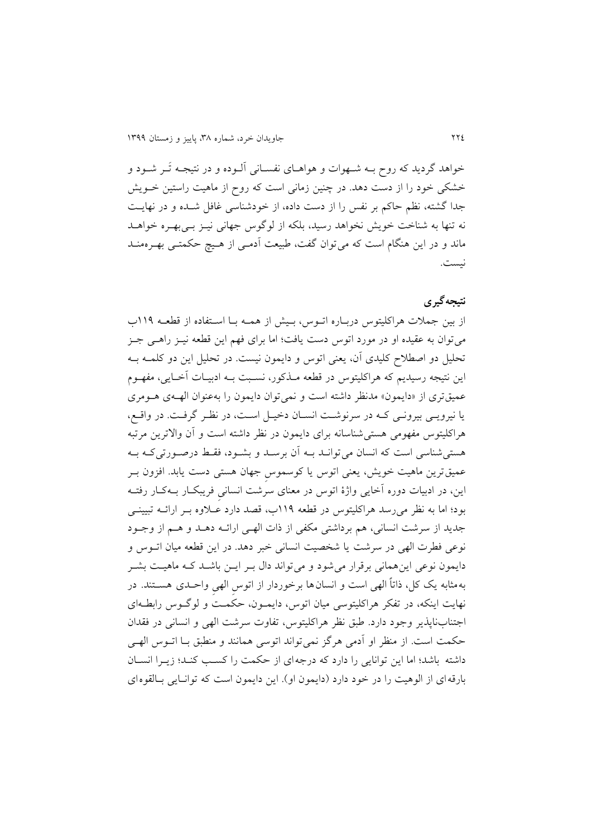خواهد گرديد که روح بهه شههوات و هواههای نفسهانی آلهوده و در نتیجهه تَهر شهود و خشکی خود را از دست دهد. در هنین زمانی است که روح از ماهیت راستین خهويش جدا گشته، نظم حاکم بر نفس را از دست داده، از خودشناسی غافل شهده و در نهايهت نه تنها به شناخت خويش نخواهد رسید، بلکه از لوگوس جهانی نیهز بهی بههره خواههد ماند و در اين هنگام است که می $\tilde{v}$ وان گفت، طبیعت آدمـی از هـیچ حکمتـی بهـرهمنــد نیست.

# **نتیجهگیری**

از بین جمالت هراکلیتوس دربهاره اتهوس، بهیش از همهه بها اسهتفاده از قطعهه 991ب میتوان به عقیده او در مورد اتوس دست يافت؛ اما برای فهم اين قطعه نیهز راههی جهز تحلیل دو اصطالح کلیدی آن، يعنی اتوس و دايمون نیست. در تحلیل اين دو کلمهه بهه اين نتيجه رسيديم که هراکليتوس در قطعه مـذکور، نسـبت بــه ادبيـات آخـايي، مفهــوم عمیقتری از «دايمون» مدنظر داشته است و نمی توان دايمون را بهعنوان الهه ی هـومری يا نیرويهی بیرونهی کهه در سرنوشهت انسهان دخیهل اسهت، در نظهر گرفهت. در واقهع، هراکلیتوس مفهومی هستیشناسانه برای دايمون در نظر داشته است و آن واالترين مرتبه هستیشناسی است که انسان میتوانهد بهه آن برسهد و بشهود، فقهط درصهورتی کهه بهه عمیقترین ماهیت خویش، يعنی اتوس يا کوسموس جهان هستی دست يابد. افزون بـر اين، در ادبیات دوره آخايی واژۀ اتوس در معنای سرشت انسانیِ فريبکهار بهه کهار رفتهه بود؛ اما به نظر میرسد هراکلیتوس در قطعه 991ب، قصد دارد عهالوه بهر ارائهه تبیینهی جديد از سرشت انسانی، هم برداشتی مکفی از ذات الههی ارائهه دههد و ههم از وجهود نوعی فطرت الهی در سرشت يا شخصیت انسانی خبر دهد. در اين قطعه میان اتهوس و دايمون نوعی اينهمانی برقرار میشود و میتواند دال بهر ايهن باشهد کهه ماهیهت بشهر بهمثابه يک کل، ذاتاً الهی است و انسانها برخوردار از اتوس الهی واحـدی هســتند. در نهايت اينکه، در تفکر هراکلیتوسی میان اتوس، دايمهون، حکمهت و لوگهوس رابطهه ای اجتنابناپذير وجود دارد. طبق نظر هراکليتوس، تفاوت سرشت الهی و انسانی در فقدان حکمت است. از منظر او آدمی هرگز نمی تواند اتوسی همانند و منطبق بـا اتـوس الهـی داشته باشد؛ اما اين توانايی را دارد که درجهای از حکمت را کسهب کنهد؛ زيهرا انسهان بارقهای از الوهیت را در خود دارد (دايمون او). اين دايمون است که توانايی بالقوه ای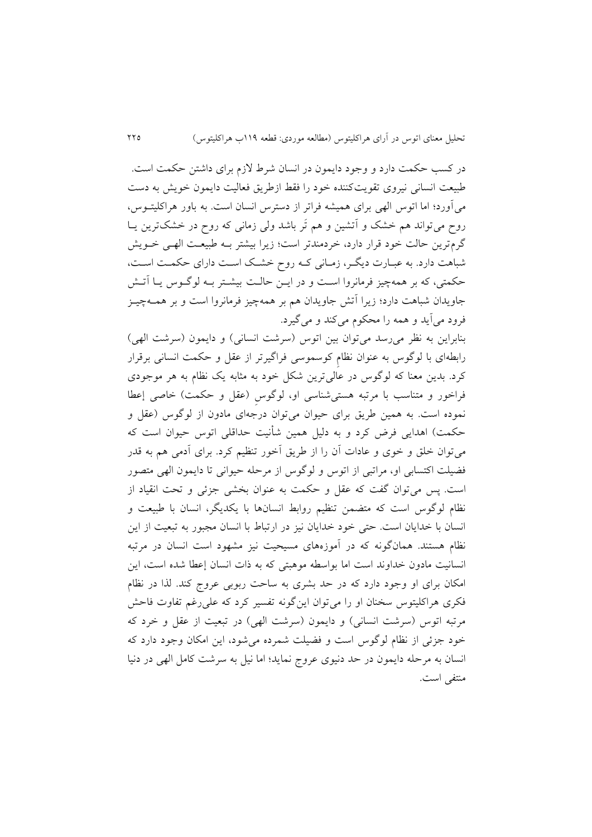در کسب حکمت دارد و وجود دايمون در انسان شرو الزم برای داشتن حکمت است. طبیعت انسانی نیروی تقویتکننده خود را فقط ازطریق فعالیت دایمون خویش به دست میآورد؛ اما اتوس الهی برای همیشه فراتر از دسترس انسان است. به باور هراکلیتهوس ، روح میتواند هم خشک و آتشین و هم تَر باشد ولی زمانی که روح در خشکترین یـا گرمترين حالت خود قرار دارد، خردمندتر است؛ زيرا بیشتر بهه طبیعهت الههی خهويش شباهت دارد. به عبـارت ديگـر، زمـاني كـه روح خشـك اسـت داراي حكمـت اسـت، حکمتی، که بر همهچیز فرمانروا است و در ايـن حالـت بیشـتر بـه لوگـوس يـا آتـش جاويدان شباهت دارد؛ زيرا آتش جاويدان هم بر همههیز فرمانروا است و بر همهه هیهز فرود میآيد و همه را محکوم میکند و میگیرد.

بنابراين به نظر می رسد می توان بين اتوس (سرشت انسانی) و دايمون (سرشت الهی) رابطهای با لوگوس به عنوان نظامِ کوسموسی فراگیرتر از عقل و حکمت انسانی برقرار کرد. بدين معنا که لوگوس در عالي ترين شکل خود به مثابه يک نظام به هر موجودی فراخور و متناسب با مرتبه هستی شناسی او، لوگوس (عقل و حکمت) خاصی إعطا نموده است. به همین طریق برای حیوان میتوان درجهای مادون از لوگوس (عقل و حکمت) اهدايی فرض کرد و به دلیل همین شأنیت حداقلی اتوس حیوان است که می توان خلق و خوی و عادات آن را از طریق آخور تنظیم کرد. برای آدمی هم به قدر فضیلت اکتسابی او، مراتبی از اتوس و لوگوس از مرحله حیوانی تا دايمون الهی متصور است. پس میتوان گفت که عقل و حکمت به عنوان بخشی جزئی و تحت انقیاد از نظام لوگوس است که متضمن تنظیم روابط انسانها با يکديگر، انسان با طبیعت و انسان با خدايان است. حتی خود خدايان نیز در ارتباو با انسان مجبور به تبعیت از اين نظام هستند. همانگونه که در آموزههای مسیحیت نیز مشهود است انسان در مرتبه انسانیت مادون خداوند است اما بواسطه موهبتی که به ذات انسان إعطا شده است، اين امکان برای او وجود دارد که در حد بشری به ساحت ربوبی عروج کند. لکا در نظام فکری هراکلیتوس سخنان او را میتوان اينگونه تفسیر کرد که علیرغم تفاوت فاحش مرتبه اتوس (سرشت انسانی) و دايمون (سرشت الهی) در تبعيت از عقل و خرد كه خود جزئی از نظام لوگوس است و فضیلت شمرده میشود، اين امکان وجود دارد که انسان به مرحله دايمون در حد دنیوی عروج نمايد؛ اما نیل به سرشت کامل الهی در دنیا منتفی است.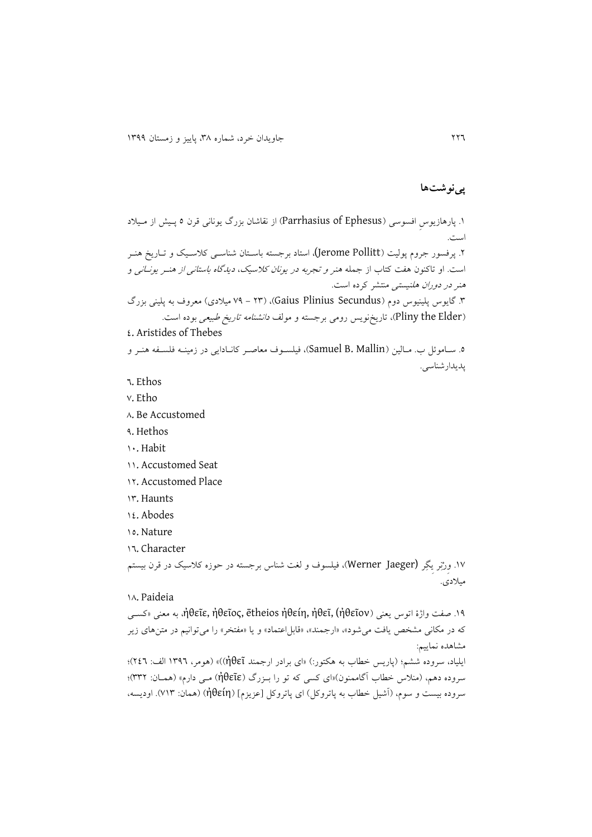## **پینوشتها**

.9 پارهازيوسِ افسوسی )Ephesus of Parrhasius )از نقاشان بزرگ يونانی قرن 2 پهیش از مهیالد است. .4 پرفسور جروم پولیت )Pollitt Jerome(، استاد برجسته باسهتان شناسهی کالسهی و تهاريخ هنهر است. او تاکنون هفت کتاب از جمله هنر *و تجربه در يونان کلاسيک، ديدگاه باستانی از هنـر يونـاني* و هنر در دوران هلنیستی منتشر کرده است. .8 گايوس پلینیوس دوم )Secundus Plinius Gaius)،( 48 - 21 میالدی( معرو به پلینی بزرگ (Pliny the Elder)، تاريخنويس رومي برجسته و مولف *دانشنامه تاريخ طبيعي* بوده است. 2. Aristides of Thebes ه. سـاموئل ب. مـالين (Samuel B. Mallin)، فيلسـوف معاصـر كانـادايی در زمينـه فلسـفه هنـر و پديدارشناسی.

- 2. Ethos
- v. Etho
- $\wedge$ . Be Accustomed
- 1. Hethos
- 90. Habit
- 99. Accustomed Seat
- 11. Accustomed Place
- 98. Haunts
- 92. Abodes
- 92. Nature
- 92. Character

۱۷. وِرْنِر يِگِر (Werner Jaeger)، فیلسوف و لغت شناس برجسته در حوزه کلاسیک در قرن بیستم میالدی.

### 93. Paideia

.91 صفت واژۀ اتوس يعنی )ἠθεῖον (,ἠθεῖ ,ἠθείη ētheios ,ἠθεῖος ,ἠθεῖε، به معنی »کسهی که در مکانی مشخص يافت میشود»، «ارجمند»، «قابل|عتماد» و يا «مفتخر» را میتوانیم در متنهای زير مشاهده نمايیم:

ايلیاد، سروده ششم؛ )پاريس خطاب به هکتور:( »ای برادر ارجمند ἠθεῖ( »))هومر، 9812 الف: 422(؛ سروده دهم، (منلاس خطاب آگاممنون)«ای کسی که تو را بـزرگ (ἠθεῖε) مـی دارم» (همـان: ٣٣٢)؛ سروده بيست و سوم، (آشيل خطاب به پاتروکل) اي پاتروکل [عزيزم] (ἠθείη) (همان: ۷۱۳). اوديسه،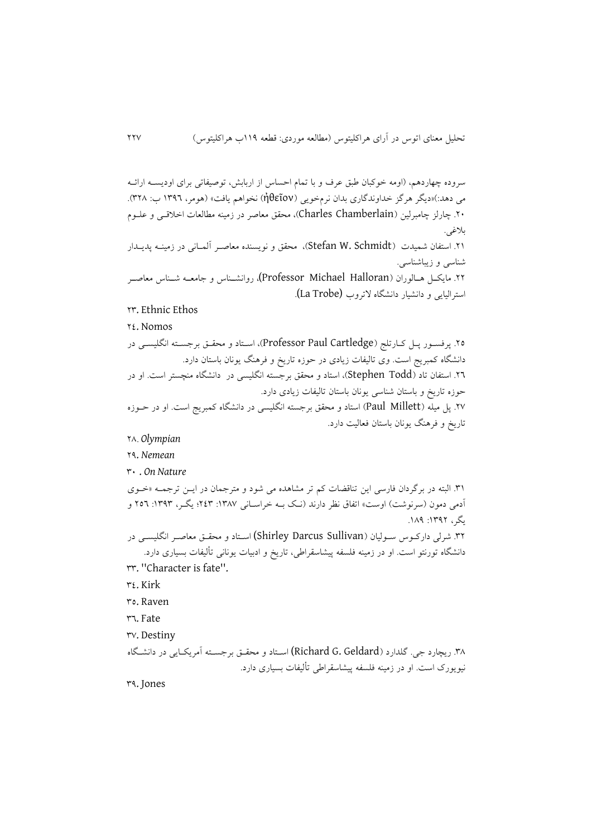سروده چهاردهم، (اومه خوکبان طبق عرف و با تمام احساس از اربابش، توصیفاتی برای اودیســه ارائــه می دهد:(»ديگر هرگز خداوندگاری بدان نرمخويی )ἠθεῖον )نخواهم يافت« )هومر، 9812 ب: 843(. .40 هارلز هامبرلین )Chamberlain Charles)، محق معاصر در زمینه مطالعات اخالقهی و علهوم بالغی. .41 استفان شمیدت ( Stefan W. Schmidt)، محقق و نویسنده معاصـر آلمـانی در زمینــه پديــدار شناسی و زيباشناسی. .44 مايکهل ههالوران )Halloran Michael Professor(، روانشهناس و جامعهه شهناس معاصهر استرالیایی و دانشیار دانشگاه لاتروب (La Trobe). 48. Ethnic Ethos 42. Nomos .42 پرفسهور پهل کهارتلج ) Cartledge Paul Professor)، اسهتاد و محقه برجسهته انگلیسهی در دانشگاه کمبريج است. وی تالیفات زيادی در حوزه تاريخ و فرهنگ يونان باستان دارد. .42 استفان تاد )Todd Stephen)، استاد و محق برجسته انگلیسی در دانشگاه منچستر است. او در حوزه تاريخ و باستان شناسی يونان باستان تالیفات زيادی دارد. .42 پل میله )Millett Paul )استاد و محق برجسته انگلیسی در دانشگاه کمبريج است. او در حهوزه تاريخ و فرهنگ يونان باستان فعاليت دارد. 43. *Olympian* 41. *Nemean* 80 . *On Nature* .89 البته در برگردان فارسی اين تناقضات کم تر مشاهده می شود و مترجمان در ايهن ترجمهه »خهوی آدمی دمون (سرنوشت) اوست» اتفاق نظر دارند (نـک بـه خراسـانی ۱۳۸۷: ۲٤۳؛ يگـر، ۱۳۹۳: ۲٥٦ و يگر، ١٣٩٢: ١٨٩. .84 شرلی دارکهوس سهولیان ) Sullivan Darcus Shirley (اسهتاد و محقه معاصهر انگلیسهی در دانشگاه تورنتو است. او در زمینه فلسفه پیشاسقراطی، تاريخ و ادبیات يونانی تألیفات بسیاری دارد. 88. ''Character is fate''. 82. Kirk 82. Raven 82. Fate rv. Destiny .83 ريچارد جی. گلدارد )Geldard .G Richard (اسهتاد و محقه برجسهته آمريکهايی در دانشهگاه نیويورک است. او در زمینه فلسفه پیشاسقراطی تألیفات بسیاری دارد.

81. Jones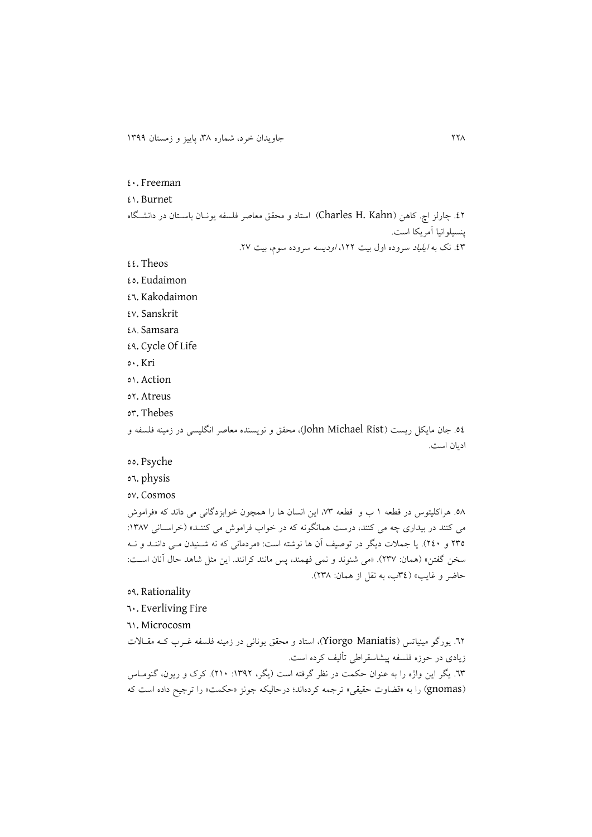#### 20. Freeman

#### 29. Burnet

.24 هارلز اچ. کاهن )Kahn .H Charles )استاد و محق معاصر فلسفه يونهان باسهتان در دانشهگاه پنسیلوانیا آمريکا است.

٤٣. نک به *ايلياد سرو*ده اول بيت ١٢٢، *اوديسه* سروده سوم، بيت ٢٧.

- $22.$  Theos
- 22. Eudaimon
- 22. Kakodaimon
- 22. Sanskrit
- 23. Samsara
- 21. Cycle Of Life
- 20. Kri
- 29. Action
- 24. Atreus
- or. Thebes

.22 جان مايکل ريست )Rist Michael John)، محق و نويسنده معاصر انگلیسی در زمینه فلسفه و اديان است.

- 00. Psyche
- 22. physis
- 22. Cosmos

.23 هراکلیتوس در قطعه 9 ب و قطعه ،28 اين انسان ها را همچون خوابزدگانی می داند که »فراموش می کنند در بیداری چه می کنند، درست همانگونه که در خواب فراموش می کننـد» (خراسـانی ۱۳۸۷: 482 و 420(. يا جمالت ديگر در توصیف آن ها نوشته است: »مردمانی که نه شهنیدن مهی داننهد و نهه سخن گفتن« )همان: 482(. »می شنوند و نمی فهمند، پس مانند کرانند. اين مثل شاهد حال آنان اسهت: حاضر و غايب« )82ب، به نقل از همان: 483(.

### 21. Rationality

- 20. Everliving Fire
- 29. Microcosm

٦٢. يورگو مينياتس (Yiorgo Maniatis)، استاد و محقق يونانی در زمينه فلسفه غـرب کـه مقـالات زيادی در حوزه فلسفه پیشاسقراطی تألیف کرده است. ٦٣. يگر اين واژه را به عنوان حکمت در نظر گرفته است (يگر، ١٣٩٢: ٢١٠). کرک و ريون، گنومـاس )gnomas )را به »قضاوت حقیقی« ترجمه کردهاند؛ درحالیکه جونز »حکمت« را ترجی داده است که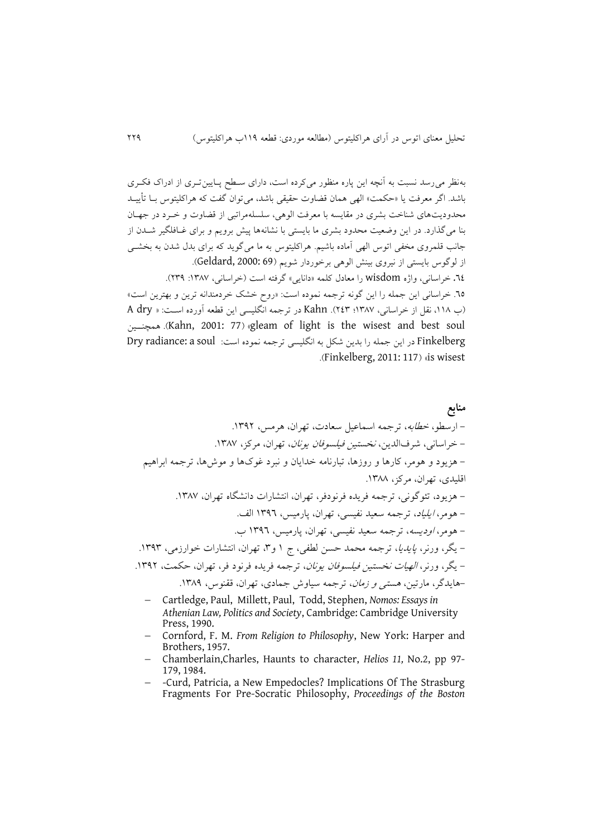بهنظر میرسد نسبت به آنچه اين پاره منظور میکرده است، دارای سهط پهايین تهری از ادراک فکهری باشد. اگر معرفت يا »حکمت« الهی همان قضاوت حقیقی باشد، میتوان گفت که هراکلیتوس بها تأيیهد محدوديتهای شناخت بشری در مقايسه با معرفت الوهی، سلسلهمراتبی از قضاوت و خهرد در جههان بنا میگکارد. در اين وضعیت محدود بشری ما بايستی با نشانهها پیش برويم و برای غهافلگیر شهدن از جانب قلمروی مخفی اتوس الهی آماده باشیم. هراکلیتوس به ما میگويد که برای بدل شدن به بخشهی از لوگوس بايستی از نیروی بینش الوهی برخوردار شويم )69 2000: ,Geldard). .<br>22. خراسانی، واژه wisdom را معادل کلمه «دانایی» گرفته است (خراسانی، ۱۳۸۷: ۲۳۹). .22 خراسانی اين جمله را اين گونه ترجمه نموده است: »روح خش خردمندانه ترين و بهترين است« )ب ،993 نقل از خراسانی، 9832؛ 428(. Kahn در ترجمه انگلیسی اين قطعه آورده اسهت: » dry A همچنههین .(Kahn, 2001: 77( »gleam of light is the wisest and best soul Finkelberg در اين جمله را بدين شكل به انگليسي ترجمه نموده است: Dry radiance: a soul .(Finkelberg, 2011: 117) «is wisest

**منابع** - ارسطو، خطابه، ترجمه اسماعیل سعادت، تهران، هرمس، .9814 - خراسانی، شر الدين، نخستین فیلسوفان يونان، تهران، مرکز، .9832 - هزيود و هومر، کارها و روزها، تبارنامه خدايان و نبرد غوکها و موشها، ترجمه ابراهیم اقلیدی، تهران، مرکز، .9833 - هزيود، تئوگونی، ترجمه فريده فرنودفر، تهران، انتشارات دانشگاه تهران، .9832 - هومر، ايلیاد، ترجمه سعید نفیسی، تهران، پارمیس، 9812 الف. - هومر، اوديسه، ترجمه سعید نفیسی، تهران، پارمیس، 9812 ب. - يگر، ورنر، پايديا، ترجمه محمد حسن لطفی، ج 9 و،8 تهران، انتشارات خوارزمی، .9818 - يگر، ورنر، الهیات نخستین فیلسوفان يونان، ترجمه فريده فرنود فر، تهران، حکمت، .9814 -هايدگر، مارتین، هستی و زمان، ترجمه سیاوش جمادی، تهران، ققنوس، .9831

- Cartledge, Paul, Millett, Paul, Todd, Stephen, *Nomos: Essays in Athenian Law, Politics and Society*, Cambridge: Cambridge University Press, 1990.
- Cornford, F. M. *From Religion to Philosophy*, New York: Harper and Brothers, 1957.
- Chamberlain,Charles, Haunts to character, *Helios 11,* No.2, pp 97- 179, 1984.
- -Curd, Patricia, a New Empedocles? Implications Of The Strasburg Fragments For Pre-Socratic Philosophy, *Proceedings of the Boston*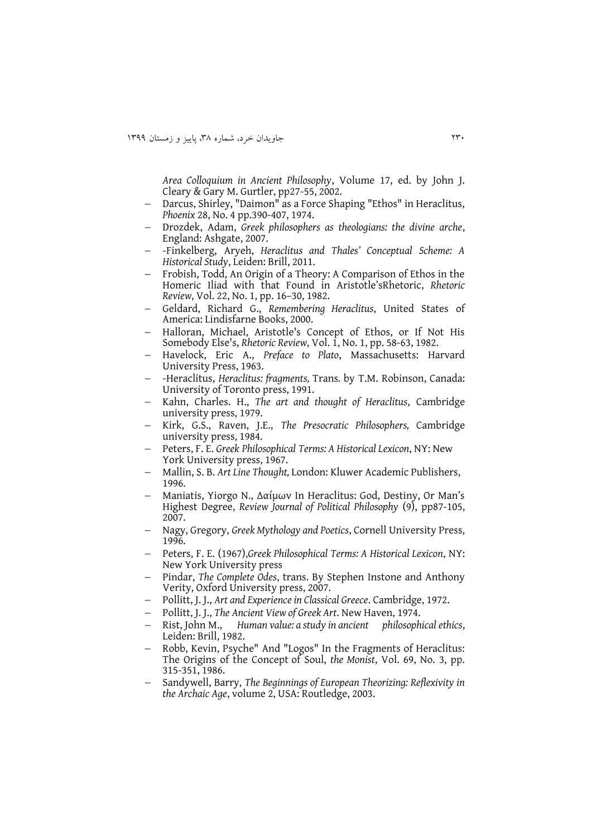*Area Colloquium in Ancient Philosophy*, Volume 17, ed. by John J. Cleary & Gary M. Gurtler, pp27-55, 2002.

- Darcus, Shirley, "Daimon" as a Force Shaping "Ethos" in Heraclitus, *Phoenix* 28, No. 4 pp.390-407, 1974.
- Drozdek, Adam, *Greek philosophers as theologians: the divine arche*, England: Ashgate, 2007.
- -Finkelberg, Aryeh, *Heraclitus and Thales' Conceptual Scheme: A Historical Study*, Leiden: Brill, 2011.
- Frobish, Todd, An Origin of a Theory: A Comparison of Ethos in the Homeric Iliad with that Found in Aristotle'sRhetoric, *Rhetoric Review*, Vol. 22, No. 1, pp. 16–30, 1982.
- Geldard, Richard G., *Remembering Heraclitus*, United States of America: Lindisfarne Books, 2000.
- Halloran, Michael, Aristotle's Concept of Ethos, or If Not His Somebody Else's, *Rhetoric Review*, Vol. 1, No. 1, pp. 58-63, 1982.
- Havelock, Eric A., *Preface to Plato*, Massachusetts: Harvard University Press, 1963.
- -Heraclitus, *Heraclitus: fragments,* Trans*.* by T.M. Robinson, Canada: University of Toronto press, 1991.
- Kahn, Charles. H., *The art and thought of Heraclitus*, Cambridge university press, 1979.
- Kirk, G.S., Raven, J.E., *The Presocratic Philosophers,* Cambridge university press, 1984.
- Peters, F. E. *Greek Philosophical Terms: A Historical Lexicon*, NY: New York University press, 1967.
- Mallin, S. B. *Art Line Thought,* London: Kluwer Academic Publishers, 1996.
- Maniatis, Yiorgo N., Δαίμων In Heraclitus: God, Destiny, Or Man's Highest Degree, *Review Journal of Political Philosophy* (9), pp87-105, 2007.
- Nagy, Gregory, *Greek Mythology and Poetics*, Cornell University Press, 1996.
- Peters, F. E. (1967),*Greek Philosophical Terms: A Historical Lexicon*, NY: New York University press
- Pindar, *The Complete Odes*, trans. By Stephen Instone and Anthony Verity, Oxford University press, 2007.
- Pollitt, J. J., *Art and Experience in Classical Greece*. Cambridge, 1972.
- Pollitt, J. J., *The Ancient View of Greek Art*. New Haven, 1974.
- Rist, John M., *Human value: a study in ancient philosophical ethics*, Leiden: Brill, 1982.
- Robb, Kevin, Psyche" And "Logos" In the Fragments of Heraclitus: The Origins of the Concept of Soul, *the Monist*, Vol. 69, No. 3, pp. 315-351, 1986.
- Sandywell, Barry, *The Beginnings of European Theorizing: Reflexivity in the Archaic Age*, volume 2, USA: Routledge, 2003.